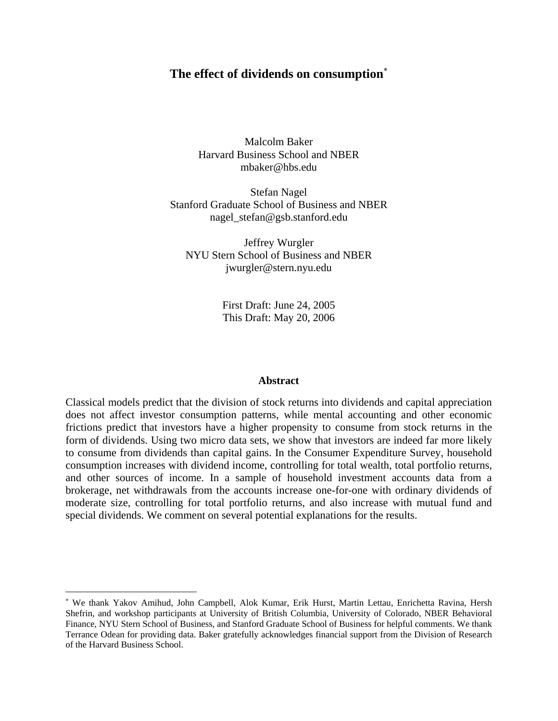# **The effect of dividends on consumption**[∗](#page-0-0)

Malcolm Baker Harvard Business School and NBER [mbaker@hbs.edu](mailto:mbaker@hbs.edu)

Stefan Nagel Stanford Graduate School of Business and NBER [nagel\\_stefan@gsb.stanford.edu](mailto:nagel_stefan@gsb.stanford.edu)

Jeffrey Wurgler NYU Stern School of Business and NBER [jwurgler@stern.nyu.edu](mailto:jwurgler@stern.nyu.edu)

> First Draft: June 24, 2005 This Draft: May 20, 2006

#### **Abstract**

Classical models predict that the division of stock returns into dividends and capital appreciation does not affect investor consumption patterns, while mental accounting and other economic frictions predict that investors have a higher propensity to consume from stock returns in the form of dividends. Using two micro data sets, we show that investors are indeed far more likely to consume from dividends than capital gains. In the Consumer Expenditure Survey, household consumption increases with dividend income, controlling for total wealth, total portfolio returns, and other sources of income. In a sample of household investment accounts data from a brokerage, net withdrawals from the accounts increase one-for-one with ordinary dividends of moderate size, controlling for total portfolio returns, and also increase with mutual fund and special dividends. We comment on several potential explanations for the results.

 $\overline{a}$ 

<span id="page-0-0"></span><sup>∗</sup> We thank Yakov Amihud, John Campbell, Alok Kumar, Erik Hurst, Martin Lettau, Enrichetta Ravina, Hersh Shefrin, and workshop participants at University of British Columbia, University of Colorado, NBER Behavioral Finance, NYU Stern School of Business, and Stanford Graduate School of Business for helpful comments. We thank Terrance Odean for providing data. Baker gratefully acknowledges financial support from the Division of Research of the Harvard Business School.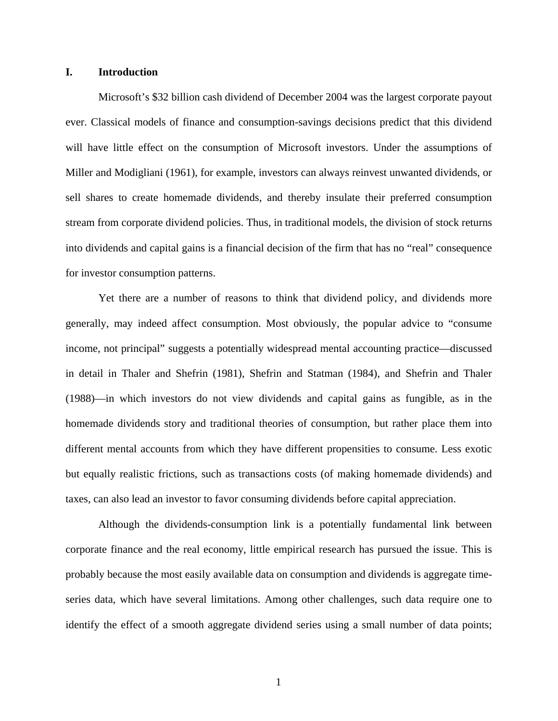### **I. Introduction**

Microsoft's \$32 billion cash dividend of December 2004 was the largest corporate payout ever. Classical models of finance and consumption-savings decisions predict that this dividend will have little effect on the consumption of Microsoft investors. Under the assumptions of Miller and Modigliani (1961), for example, investors can always reinvest unwanted dividends, or sell shares to create homemade dividends, and thereby insulate their preferred consumption stream from corporate dividend policies. Thus, in traditional models, the division of stock returns into dividends and capital gains is a financial decision of the firm that has no "real" consequence for investor consumption patterns.

Yet there are a number of reasons to think that dividend policy, and dividends more generally, may indeed affect consumption. Most obviously, the popular advice to "consume income, not principal" suggests a potentially widespread mental accounting practice—discussed in detail in Thaler and Shefrin (1981), Shefrin and Statman (1984), and Shefrin and Thaler (1988)—in which investors do not view dividends and capital gains as fungible, as in the homemade dividends story and traditional theories of consumption, but rather place them into different mental accounts from which they have different propensities to consume. Less exotic but equally realistic frictions, such as transactions costs (of making homemade dividends) and taxes, can also lead an investor to favor consuming dividends before capital appreciation.

Although the dividends-consumption link is a potentially fundamental link between corporate finance and the real economy, little empirical research has pursued the issue. This is probably because the most easily available data on consumption and dividends is aggregate timeseries data, which have several limitations. Among other challenges, such data require one to identify the effect of a smooth aggregate dividend series using a small number of data points;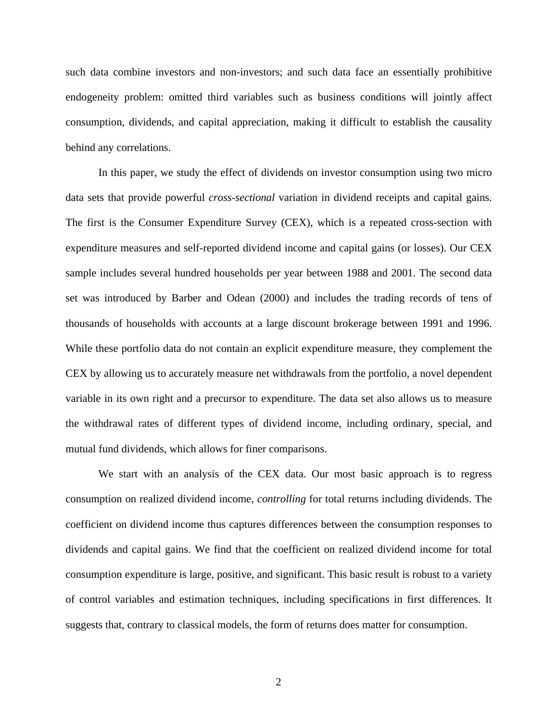such data combine investors and non-investors; and such data face an essentially prohibitive endogeneity problem: omitted third variables such as business conditions will jointly affect consumption, dividends, and capital appreciation, making it difficult to establish the causality behind any correlations.

In this paper, we study the effect of dividends on investor consumption using two micro data sets that provide powerful *cross-sectional* variation in dividend receipts and capital gains. The first is the Consumer Expenditure Survey (CEX), which is a repeated cross-section with expenditure measures and self-reported dividend income and capital gains (or losses). Our CEX sample includes several hundred households per year between 1988 and 2001. The second data set was introduced by Barber and Odean (2000) and includes the trading records of tens of thousands of households with accounts at a large discount brokerage between 1991 and 1996. While these portfolio data do not contain an explicit expenditure measure, they complement the CEX by allowing us to accurately measure net withdrawals from the portfolio, a novel dependent variable in its own right and a precursor to expenditure. The data set also allows us to measure the withdrawal rates of different types of dividend income, including ordinary, special, and mutual fund dividends, which allows for finer comparisons.

We start with an analysis of the CEX data. Our most basic approach is to regress consumption on realized dividend income, *controlling* for total returns including dividends. The coefficient on dividend income thus captures differences between the consumption responses to dividends and capital gains. We find that the coefficient on realized dividend income for total consumption expenditure is large, positive, and significant. This basic result is robust to a variety of control variables and estimation techniques, including specifications in first differences. It suggests that, contrary to classical models, the form of returns does matter for consumption.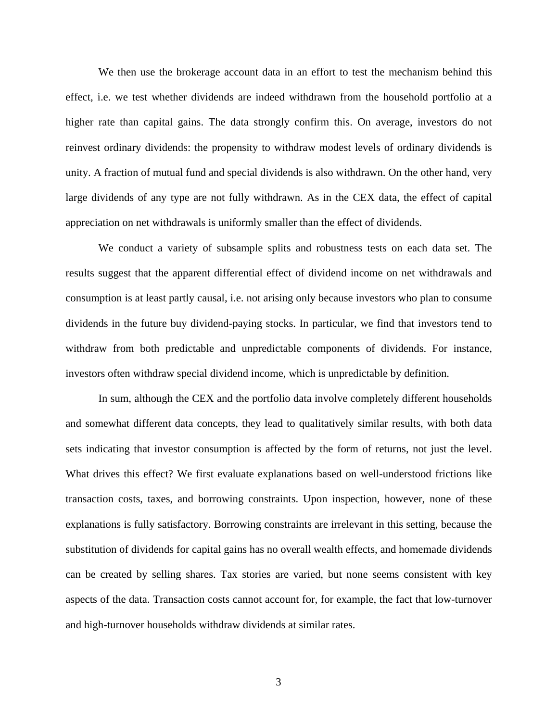We then use the brokerage account data in an effort to test the mechanism behind this effect, i.e. we test whether dividends are indeed withdrawn from the household portfolio at a higher rate than capital gains. The data strongly confirm this. On average, investors do not reinvest ordinary dividends: the propensity to withdraw modest levels of ordinary dividends is unity. A fraction of mutual fund and special dividends is also withdrawn. On the other hand, very large dividends of any type are not fully withdrawn. As in the CEX data, the effect of capital appreciation on net withdrawals is uniformly smaller than the effect of dividends.

We conduct a variety of subsample splits and robustness tests on each data set. The results suggest that the apparent differential effect of dividend income on net withdrawals and consumption is at least partly causal, i.e. not arising only because investors who plan to consume dividends in the future buy dividend-paying stocks. In particular, we find that investors tend to withdraw from both predictable and unpredictable components of dividends. For instance, investors often withdraw special dividend income, which is unpredictable by definition.

In sum, although the CEX and the portfolio data involve completely different households and somewhat different data concepts, they lead to qualitatively similar results, with both data sets indicating that investor consumption is affected by the form of returns, not just the level. What drives this effect? We first evaluate explanations based on well-understood frictions like transaction costs, taxes, and borrowing constraints. Upon inspection, however, none of these explanations is fully satisfactory. Borrowing constraints are irrelevant in this setting, because the substitution of dividends for capital gains has no overall wealth effects, and homemade dividends can be created by selling shares. Tax stories are varied, but none seems consistent with key aspects of the data. Transaction costs cannot account for, for example, the fact that low-turnover and high-turnover households withdraw dividends at similar rates.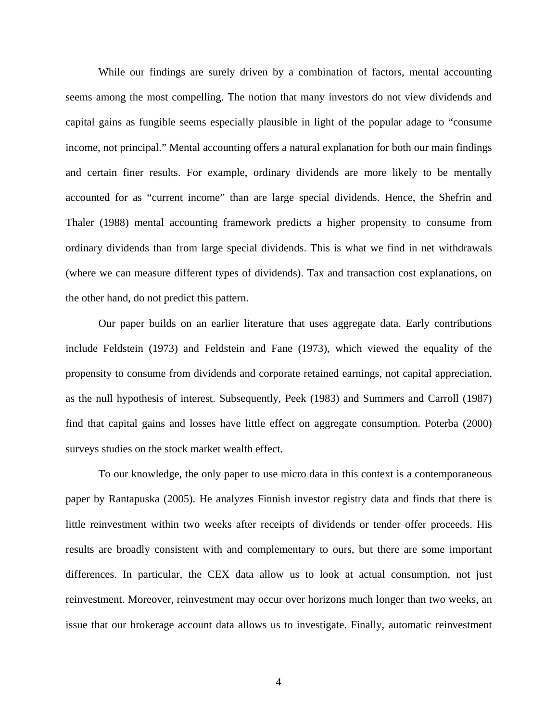While our findings are surely driven by a combination of factors, mental accounting seems among the most compelling. The notion that many investors do not view dividends and capital gains as fungible seems especially plausible in light of the popular adage to "consume income, not principal." Mental accounting offers a natural explanation for both our main findings and certain finer results. For example, ordinary dividends are more likely to be mentally accounted for as "current income" than are large special dividends. Hence, the Shefrin and Thaler (1988) mental accounting framework predicts a higher propensity to consume from ordinary dividends than from large special dividends. This is what we find in net withdrawals (where we can measure different types of dividends). Tax and transaction cost explanations, on the other hand, do not predict this pattern.

Our paper builds on an earlier literature that uses aggregate data. Early contributions include Feldstein (1973) and Feldstein and Fane (1973), which viewed the equality of the propensity to consume from dividends and corporate retained earnings, not capital appreciation, as the null hypothesis of interest. Subsequently, Peek (1983) and Summers and Carroll (1987) find that capital gains and losses have little effect on aggregate consumption. Poterba (2000) surveys studies on the stock market wealth effect.

To our knowledge, the only paper to use micro data in this context is a contemporaneous paper by Rantapuska (2005). He analyzes Finnish investor registry data and finds that there is little reinvestment within two weeks after receipts of dividends or tender offer proceeds. His results are broadly consistent with and complementary to ours, but there are some important differences. In particular, the CEX data allow us to look at actual consumption, not just reinvestment. Moreover, reinvestment may occur over horizons much longer than two weeks, an issue that our brokerage account data allows us to investigate. Finally, automatic reinvestment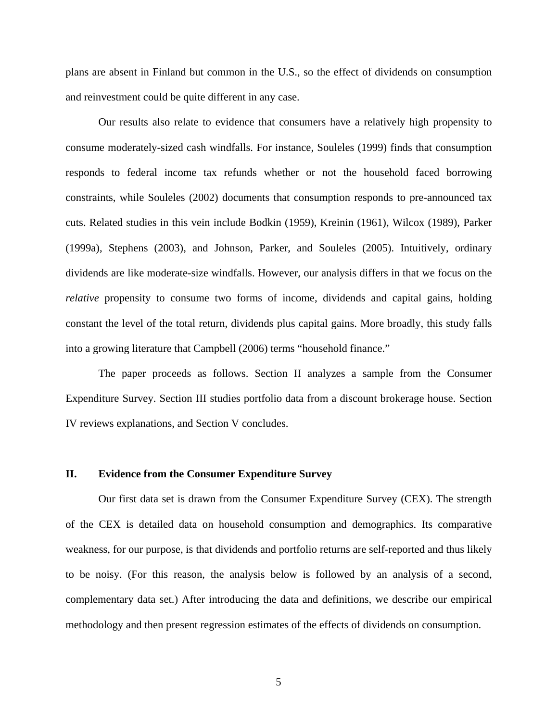plans are absent in Finland but common in the U.S., so the effect of dividends on consumption and reinvestment could be quite different in any case.

Our results also relate to evidence that consumers have a relatively high propensity to consume moderately-sized cash windfalls. For instance, Souleles (1999) finds that consumption responds to federal income tax refunds whether or not the household faced borrowing constraints, while Souleles (2002) documents that consumption responds to pre-announced tax cuts. Related studies in this vein include Bodkin (1959), Kreinin (1961), Wilcox (1989), Parker (1999a), Stephens (2003), and Johnson, Parker, and Souleles (2005). Intuitively, ordinary dividends are like moderate-size windfalls. However, our analysis differs in that we focus on the *relative* propensity to consume two forms of income, dividends and capital gains, holding constant the level of the total return, dividends plus capital gains. More broadly, this study falls into a growing literature that Campbell (2006) terms "household finance."

The paper proceeds as follows. Section II analyzes a sample from the Consumer Expenditure Survey. Section III studies portfolio data from a discount brokerage house. Section IV reviews explanations, and Section V concludes.

#### **II. Evidence from the Consumer Expenditure Survey**

Our first data set is drawn from the Consumer Expenditure Survey (CEX). The strength of the CEX is detailed data on household consumption and demographics. Its comparative weakness, for our purpose, is that dividends and portfolio returns are self-reported and thus likely to be noisy. (For this reason, the analysis below is followed by an analysis of a second, complementary data set.) After introducing the data and definitions, we describe our empirical methodology and then present regression estimates of the effects of dividends on consumption.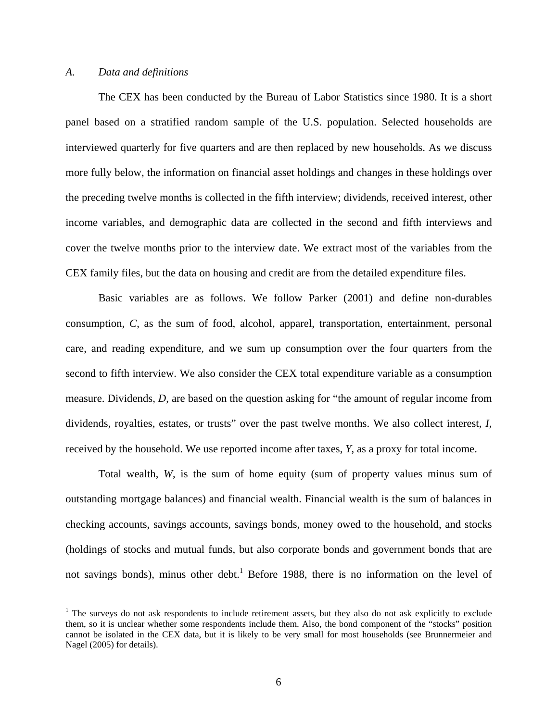#### *A. Data and definitions*

 $\overline{a}$ 

The CEX has been conducted by the Bureau of Labor Statistics since 1980. It is a short panel based on a stratified random sample of the U.S. population. Selected households are interviewed quarterly for five quarters and are then replaced by new households. As we discuss more fully below, the information on financial asset holdings and changes in these holdings over the preceding twelve months is collected in the fifth interview; dividends, received interest, other income variables, and demographic data are collected in the second and fifth interviews and cover the twelve months prior to the interview date. We extract most of the variables from the CEX family files, but the data on housing and credit are from the detailed expenditure files.

Basic variables are as follows. We follow Parker (2001) and define non-durables consumption, *C*, as the sum of food, alcohol, apparel, transportation, entertainment, personal care, and reading expenditure, and we sum up consumption over the four quarters from the second to fifth interview. We also consider the CEX total expenditure variable as a consumption measure. Dividends, *D*, are based on the question asking for "the amount of regular income from dividends, royalties, estates, or trusts" over the past twelve months. We also collect interest, *I*, received by the household. We use reported income after taxes, *Y*, as a proxy for total income.

Total wealth, *W*, is the sum of home equity (sum of property values minus sum of outstanding mortgage balances) and financial wealth. Financial wealth is the sum of balances in checking accounts, savings accounts, savings bonds, money owed to the household, and stocks (holdings of stocks and mutual funds, but also corporate bonds and government bonds that are not savings bonds), minus other debt.<sup>[1](#page-6-0)</sup> Before 1988, there is no information on the level of

<span id="page-6-0"></span> $1$  The surveys do not ask respondents to include retirement assets, but they also do not ask explicitly to exclude them, so it is unclear whether some respondents include them. Also, the bond component of the "stocks" position cannot be isolated in the CEX data, but it is likely to be very small for most households (see Brunnermeier and Nagel (2005) for details).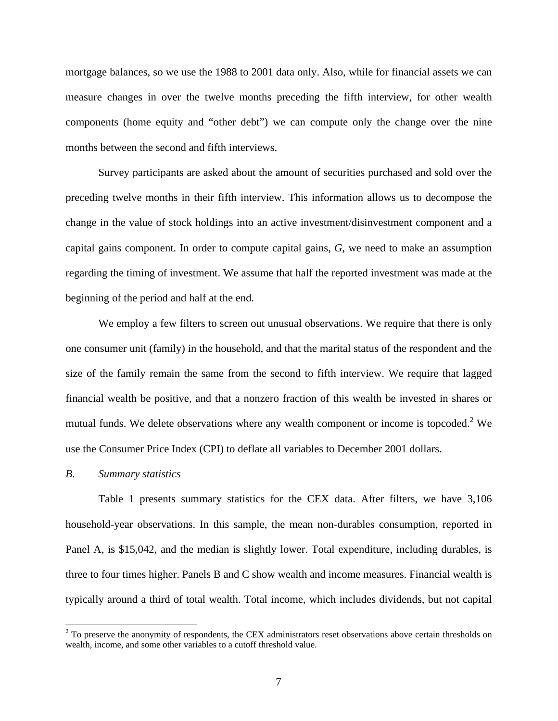mortgage balances, so we use the 1988 to 2001 data only. Also, while for financial assets we can measure changes in over the twelve months preceding the fifth interview, for other wealth components (home equity and "other debt") we can compute only the change over the nine months between the second and fifth interviews.

Survey participants are asked about the amount of securities purchased and sold over the preceding twelve months in their fifth interview. This information allows us to decompose the change in the value of stock holdings into an active investment/disinvestment component and a capital gains component. In order to compute capital gains, *G*, we need to make an assumption regarding the timing of investment. We assume that half the reported investment was made at the beginning of the period and half at the end.

We employ a few filters to screen out unusual observations. We require that there is only one consumer unit (family) in the household, and that the marital status of the respondent and the size of the family remain the same from the second to fifth interview. We require that lagged financial wealth be positive, and that a nonzero fraction of this wealth be invested in shares or mutual funds. We delete observations where any wealth component or income is topcoded.<sup>[2](#page-7-0)</sup> We use the Consumer Price Index (CPI) to deflate all variables to December 2001 dollars.

#### *B. Summary statistics*

 $\overline{a}$ 

Table 1 presents summary statistics for the CEX data. After filters, we have 3,106 household-year observations. In this sample, the mean non-durables consumption, reported in Panel A, is \$15,042, and the median is slightly lower. Total expenditure, including durables, is three to four times higher. Panels B and C show wealth and income measures. Financial wealth is typically around a third of total wealth. Total income, which includes dividends, but not capital

<span id="page-7-0"></span> $2^{2}$  To preserve the anonymity of respondents, the CEX administrators reset observations above certain thresholds on wealth, income, and some other variables to a cutoff threshold value.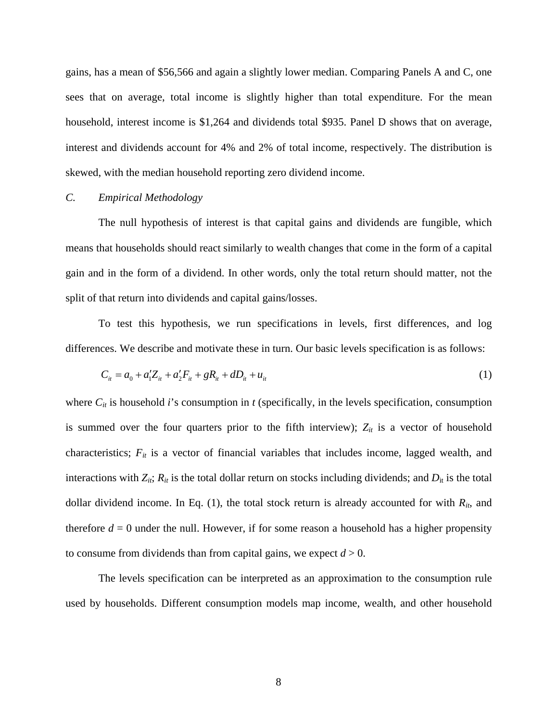gains, has a mean of \$56,566 and again a slightly lower median. Comparing Panels A and C, one sees that on average, total income is slightly higher than total expenditure. For the mean household, interest income is \$1,264 and dividends total \$935. Panel D shows that on average, interest and dividends account for 4% and 2% of total income, respectively. The distribution is skewed, with the median household reporting zero dividend income.

## *C. Empirical Methodology*

The null hypothesis of interest is that capital gains and dividends are fungible, which means that households should react similarly to wealth changes that come in the form of a capital gain and in the form of a dividend. In other words, only the total return should matter, not the split of that return into dividends and capital gains/losses.

To test this hypothesis, we run specifications in levels, first differences, and log differences. We describe and motivate these in turn. Our basic levels specification is as follows:

$$
C_{it} = a_0 + a'_1 Z_{it} + a'_2 F_{it} + g R_{it} + d D_{it} + u_{it}
$$
\n(1)

where  $C_{it}$  is household *i*'s consumption in *t* (specifically, in the levels specification, consumption is summed over the four quarters prior to the fifth interview);  $Z_{it}$  is a vector of household characteristics; *Fit* is a vector of financial variables that includes income, lagged wealth, and interactions with  $Z_{it}$ ;  $R_{it}$  is the total dollar return on stocks including dividends; and  $D_{it}$  is the total dollar dividend income. In Eq.  $(1)$ , the total stock return is already accounted for with  $R_{it}$ , and therefore  $d = 0$  under the null. However, if for some reason a household has a higher propensity to consume from dividends than from capital gains, we expect  $d > 0$ .

The levels specification can be interpreted as an approximation to the consumption rule used by households. Different consumption models map income, wealth, and other household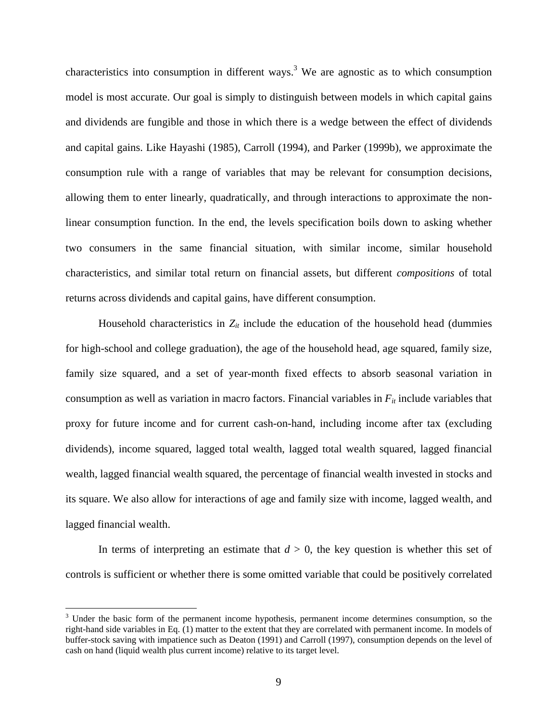characteristics into consumption in different ways.<sup>[3](#page-9-0)</sup> We are agnostic as to which consumption model is most accurate. Our goal is simply to distinguish between models in which capital gains and dividends are fungible and those in which there is a wedge between the effect of dividends and capital gains. Like Hayashi (1985), Carroll (1994), and Parker (1999b), we approximate the consumption rule with a range of variables that may be relevant for consumption decisions, allowing them to enter linearly, quadratically, and through interactions to approximate the nonlinear consumption function. In the end, the levels specification boils down to asking whether two consumers in the same financial situation, with similar income, similar household characteristics, and similar total return on financial assets, but different *compositions* of total returns across dividends and capital gains, have different consumption.

Household characteristics in  $Z_{it}$  include the education of the household head (dummies for high-school and college graduation), the age of the household head, age squared, family size, family size squared, and a set of year-month fixed effects to absorb seasonal variation in consumption as well as variation in macro factors. Financial variables in  $F_{it}$  include variables that proxy for future income and for current cash-on-hand, including income after tax (excluding dividends), income squared, lagged total wealth, lagged total wealth squared, lagged financial wealth, lagged financial wealth squared, the percentage of financial wealth invested in stocks and its square. We also allow for interactions of age and family size with income, lagged wealth, and lagged financial wealth.

In terms of interpreting an estimate that  $d > 0$ , the key question is whether this set of controls is sufficient or whether there is some omitted variable that could be positively correlated

 $\overline{a}$ 

<span id="page-9-0"></span> $3$  Under the basic form of the permanent income hypothesis, permanent income determines consumption, so the right-hand side variables in Eq. (1) matter to the extent that they are correlated with permanent income. In models of buffer-stock saving with impatience such as Deaton (1991) and Carroll (1997), consumption depends on the level of cash on hand (liquid wealth plus current income) relative to its target level.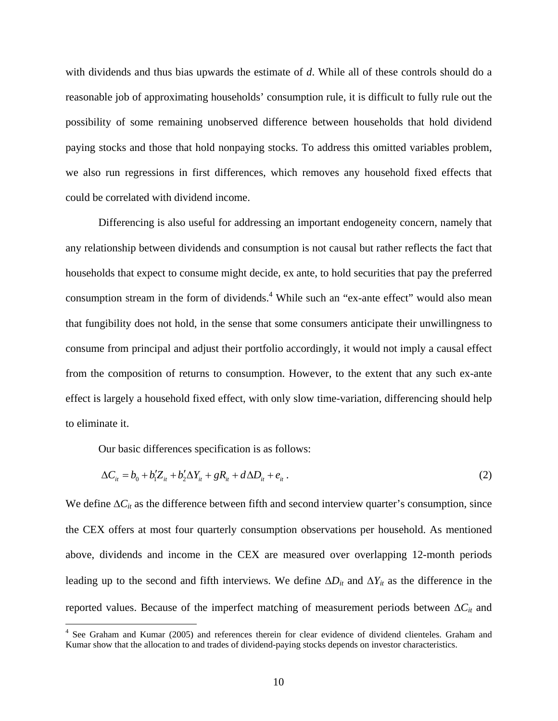with dividends and thus bias upwards the estimate of *d*. While all of these controls should do a reasonable job of approximating households' consumption rule, it is difficult to fully rule out the possibility of some remaining unobserved difference between households that hold dividend paying stocks and those that hold nonpaying stocks. To address this omitted variables problem, we also run regressions in first differences, which removes any household fixed effects that could be correlated with dividend income.

Differencing is also useful for addressing an important endogeneity concern, namely that any relationship between dividends and consumption is not causal but rather reflects the fact that households that expect to consume might decide, ex ante, to hold securities that pay the preferred consumption stream in the form of dividends.<sup>[4](#page-10-0)</sup> While such an "ex-ante effect" would also mean that fungibility does not hold, in the sense that some consumers anticipate their unwillingness to consume from principal and adjust their portfolio accordingly, it would not imply a causal effect from the composition of returns to consumption. However, to the extent that any such ex-ante effect is largely a household fixed effect, with only slow time-variation, differencing should help to eliminate it.

Our basic differences specification is as follows:

 $\overline{a}$ 

$$
\Delta C_{it} = b_0 + b'_1 Z_{it} + b'_2 \Delta Y_{it} + gR_{it} + d\Delta D_{it} + e_{it}.
$$
\n(2)

We define  $\Delta C_i$  as the difference between fifth and second interview quarter's consumption, since the CEX offers at most four quarterly consumption observations per household. As mentioned above, dividends and income in the CEX are measured over overlapping 12-month periods leading up to the second and fifth interviews. We define ∆*Dit* and ∆*Yit* as the difference in the reported values. Because of the imperfect matching of measurement periods between ∆*Cit* and

<span id="page-10-0"></span><sup>&</sup>lt;sup>4</sup> See Graham and Kumar (2005) and references therein for clear evidence of dividend clienteles. Graham and Kumar show that the allocation to and trades of dividend-paying stocks depends on investor characteristics.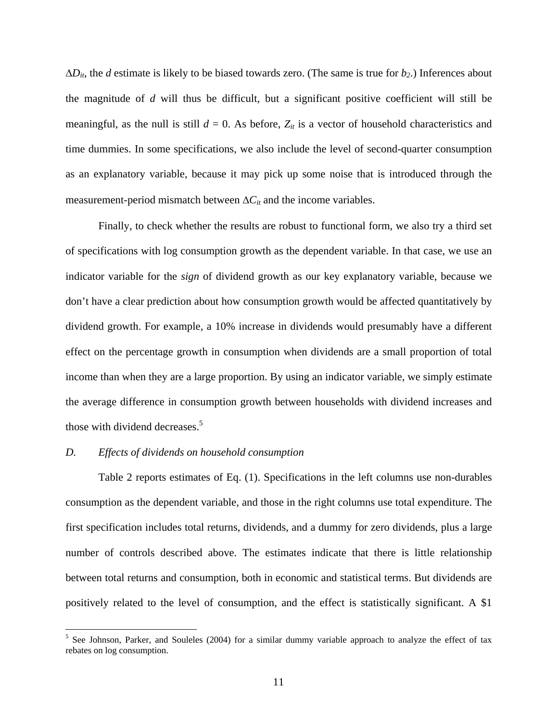$\Delta D_{it}$ , the *d* estimate is likely to be biased towards zero. (The same is true for  $b_2$ .) Inferences about the magnitude of *d* will thus be difficult, but a significant positive coefficient will still be meaningful, as the null is still  $d = 0$ . As before,  $Z_{it}$  is a vector of household characteristics and time dummies. In some specifications, we also include the level of second-quarter consumption as an explanatory variable, because it may pick up some noise that is introduced through the measurement-period mismatch between  $\Delta C_i$  and the income variables.

Finally, to check whether the results are robust to functional form, we also try a third set of specifications with log consumption growth as the dependent variable. In that case, we use an indicator variable for the *sign* of dividend growth as our key explanatory variable, because we don't have a clear prediction about how consumption growth would be affected quantitatively by dividend growth. For example, a 10% increase in dividends would presumably have a different effect on the percentage growth in consumption when dividends are a small proportion of total income than when they are a large proportion. By using an indicator variable, we simply estimate the average difference in consumption growth between households with dividend increases and those with dividend decreases.<sup>[5](#page-11-0)</sup>

#### *D. Effects of dividends on household consumption*

Table 2 reports estimates of Eq. (1). Specifications in the left columns use non-durables consumption as the dependent variable, and those in the right columns use total expenditure. The first specification includes total returns, dividends, and a dummy for zero dividends, plus a large number of controls described above. The estimates indicate that there is little relationship between total returns and consumption, both in economic and statistical terms. But dividends are positively related to the level of consumption, and the effect is statistically significant. A \$1

<span id="page-11-0"></span><sup>&</sup>lt;sup>5</sup> See Johnson, Parker, and Souleles (2004) for a similar dummy variable approach to analyze the effect of tax rebates on log consumption.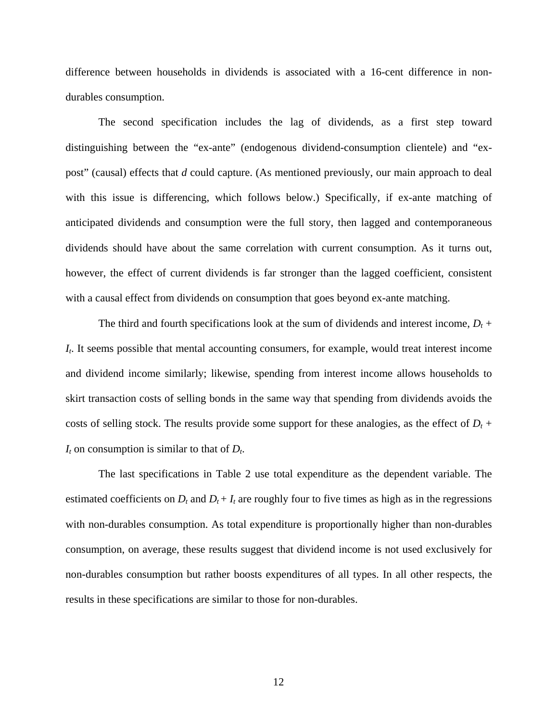difference between households in dividends is associated with a 16-cent difference in nondurables consumption.

The second specification includes the lag of dividends, as a first step toward distinguishing between the "ex-ante" (endogenous dividend-consumption clientele) and "expost" (causal) effects that *d* could capture. (As mentioned previously, our main approach to deal with this issue is differencing, which follows below.) Specifically, if ex-ante matching of anticipated dividends and consumption were the full story, then lagged and contemporaneous dividends should have about the same correlation with current consumption. As it turns out, however, the effect of current dividends is far stronger than the lagged coefficient, consistent with a causal effect from dividends on consumption that goes beyond ex-ante matching.

The third and fourth specifications look at the sum of dividends and interest income,  $D_t$  + *It*. It seems possible that mental accounting consumers, for example, would treat interest income and dividend income similarly; likewise, spending from interest income allows households to skirt transaction costs of selling bonds in the same way that spending from dividends avoids the costs of selling stock. The results provide some support for these analogies, as the effect of  $D_t$  +  $I_t$  on consumption is similar to that of  $D_t$ .

The last specifications in Table 2 use total expenditure as the dependent variable. The estimated coefficients on  $D_t$  and  $D_t + I_t$  are roughly four to five times as high as in the regressions with non-durables consumption. As total expenditure is proportionally higher than non-durables consumption, on average, these results suggest that dividend income is not used exclusively for non-durables consumption but rather boosts expenditures of all types. In all other respects, the results in these specifications are similar to those for non-durables.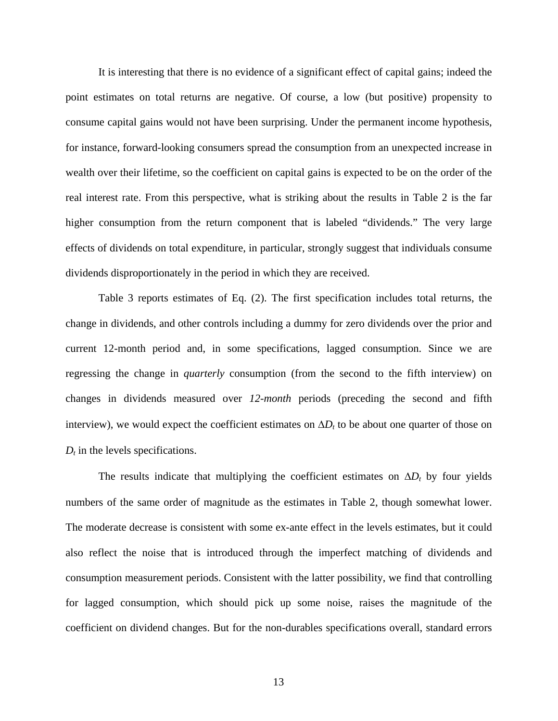It is interesting that there is no evidence of a significant effect of capital gains; indeed the point estimates on total returns are negative. Of course, a low (but positive) propensity to consume capital gains would not have been surprising. Under the permanent income hypothesis, for instance, forward-looking consumers spread the consumption from an unexpected increase in wealth over their lifetime, so the coefficient on capital gains is expected to be on the order of the real interest rate. From this perspective, what is striking about the results in Table 2 is the far higher consumption from the return component that is labeled "dividends." The very large effects of dividends on total expenditure, in particular, strongly suggest that individuals consume dividends disproportionately in the period in which they are received.

Table 3 reports estimates of Eq. (2). The first specification includes total returns, the change in dividends, and other controls including a dummy for zero dividends over the prior and current 12-month period and, in some specifications, lagged consumption. Since we are regressing the change in *quarterly* consumption (from the second to the fifth interview) on changes in dividends measured over *12-month* periods (preceding the second and fifth interview), we would expect the coefficient estimates on  $\Delta D_t$  to be about one quarter of those on  $D_t$  in the levels specifications.

The results indicate that multiplying the coefficient estimates on  $\Delta D_t$  by four yields numbers of the same order of magnitude as the estimates in Table 2, though somewhat lower. The moderate decrease is consistent with some ex-ante effect in the levels estimates, but it could also reflect the noise that is introduced through the imperfect matching of dividends and consumption measurement periods. Consistent with the latter possibility, we find that controlling for lagged consumption, which should pick up some noise, raises the magnitude of the coefficient on dividend changes. But for the non-durables specifications overall, standard errors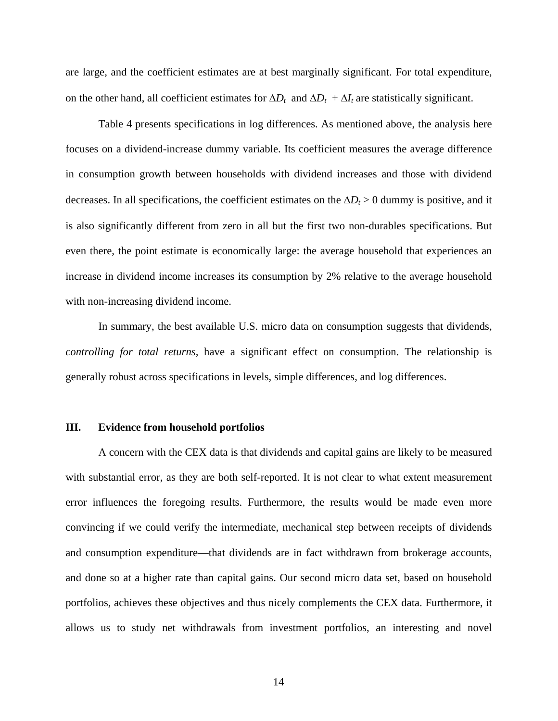are large, and the coefficient estimates are at best marginally significant. For total expenditure, on the other hand, all coefficient estimates for  $\Delta D_t$  and  $\Delta D_t + \Delta I_t$  are statistically significant.

Table 4 presents specifications in log differences. As mentioned above, the analysis here focuses on a dividend-increase dummy variable. Its coefficient measures the average difference in consumption growth between households with dividend increases and those with dividend decreases. In all specifications, the coefficient estimates on the  $\Delta D_t > 0$  dummy is positive, and it is also significantly different from zero in all but the first two non-durables specifications. But even there, the point estimate is economically large: the average household that experiences an increase in dividend income increases its consumption by 2% relative to the average household with non-increasing dividend income.

In summary, the best available U.S. micro data on consumption suggests that dividends, *controlling for total returns,* have a significant effect on consumption. The relationship is generally robust across specifications in levels, simple differences, and log differences.

### **III. Evidence from household portfolios**

A concern with the CEX data is that dividends and capital gains are likely to be measured with substantial error, as they are both self-reported. It is not clear to what extent measurement error influences the foregoing results. Furthermore, the results would be made even more convincing if we could verify the intermediate, mechanical step between receipts of dividends and consumption expenditure—that dividends are in fact withdrawn from brokerage accounts, and done so at a higher rate than capital gains. Our second micro data set, based on household portfolios, achieves these objectives and thus nicely complements the CEX data. Furthermore, it allows us to study net withdrawals from investment portfolios, an interesting and novel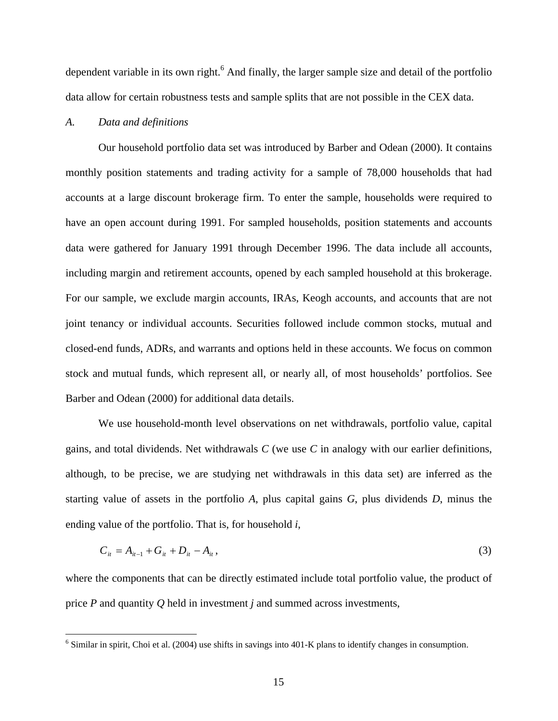dependent variable in its own right.<sup>[6](#page-15-0)</sup> And finally, the larger sample size and detail of the portfolio data allow for certain robustness tests and sample splits that are not possible in the CEX data.

## *A. Data and definitions*

<u>.</u>

Our household portfolio data set was introduced by Barber and Odean (2000). It contains monthly position statements and trading activity for a sample of 78,000 households that had accounts at a large discount brokerage firm. To enter the sample, households were required to have an open account during 1991. For sampled households, position statements and accounts data were gathered for January 1991 through December 1996. The data include all accounts, including margin and retirement accounts, opened by each sampled household at this brokerage. For our sample, we exclude margin accounts, IRAs, Keogh accounts, and accounts that are not joint tenancy or individual accounts. Securities followed include common stocks, mutual and closed-end funds, ADRs, and warrants and options held in these accounts. We focus on common stock and mutual funds, which represent all, or nearly all, of most households' portfolios. See Barber and Odean (2000) for additional data details.

We use household-month level observations on net withdrawals, portfolio value, capital gains, and total dividends. Net withdrawals *C* (we use *C* in analogy with our earlier definitions, although, to be precise, we are studying net withdrawals in this data set) are inferred as the starting value of assets in the portfolio *A*, plus capital gains *G*, plus dividends *D*, minus the ending value of the portfolio. That is, for household *i*,

$$
C_{it} = A_{it-1} + G_{it} + D_{it} - A_{it}, \qquad (3)
$$

where the components that can be directly estimated include total portfolio value, the product of price *P* and quantity *Q* held in investment *j* and summed across investments,

<span id="page-15-0"></span> $6$  Similar in spirit, Choi et al. (2004) use shifts in savings into 401-K plans to identify changes in consumption.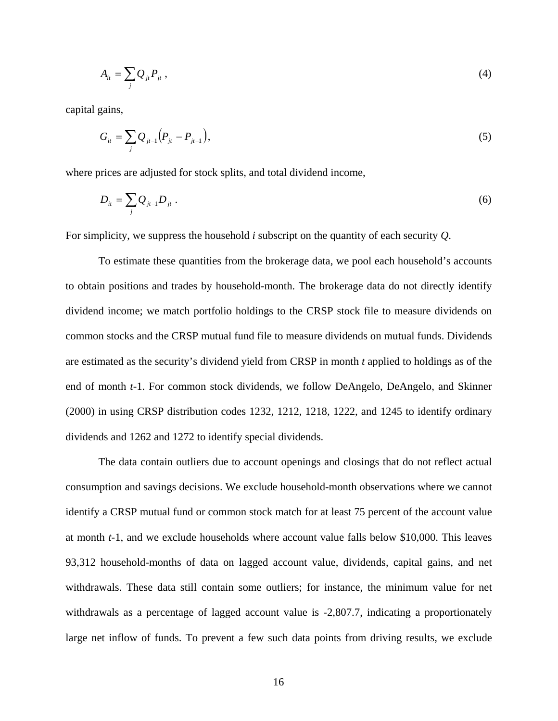$$
A_{ii} = \sum_{j} Q_{ji} P_{ji} \tag{4}
$$

capital gains,

$$
G_{it} = \sum_{j} Q_{jt-1} (P_{jt} - P_{jt-1}),
$$
\n(5)

where prices are adjusted for stock splits, and total dividend income,

$$
D_{ii} = \sum_{j} Q_{jt-1} D_{jt} \tag{6}
$$

For simplicity, we suppress the household *i* subscript on the quantity of each security *Q*.

To estimate these quantities from the brokerage data, we pool each household's accounts to obtain positions and trades by household-month. The brokerage data do not directly identify dividend income; we match portfolio holdings to the CRSP stock file to measure dividends on common stocks and the CRSP mutual fund file to measure dividends on mutual funds. Dividends are estimated as the security's dividend yield from CRSP in month *t* applied to holdings as of the end of month *t*-1. For common stock dividends, we follow DeAngelo, DeAngelo, and Skinner (2000) in using CRSP distribution codes 1232, 1212, 1218, 1222, and 1245 to identify ordinary dividends and 1262 and 1272 to identify special dividends.

The data contain outliers due to account openings and closings that do not reflect actual consumption and savings decisions. We exclude household-month observations where we cannot identify a CRSP mutual fund or common stock match for at least 75 percent of the account value at month *t*-1, and we exclude households where account value falls below \$10,000. This leaves 93,312 household-months of data on lagged account value, dividends, capital gains, and net withdrawals. These data still contain some outliers; for instance, the minimum value for net withdrawals as a percentage of lagged account value is -2,807.7, indicating a proportionately large net inflow of funds. To prevent a few such data points from driving results, we exclude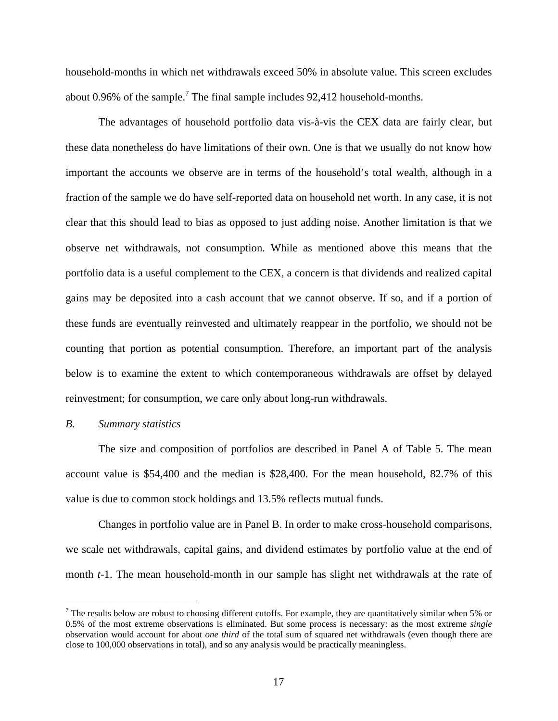household-months in which net withdrawals exceed 50% in absolute value. This screen excludes about 0.96% of the sample.<sup>7</sup> The final sample includes  $92,412$  household-months.

The advantages of household portfolio data vis-à-vis the CEX data are fairly clear, but these data nonetheless do have limitations of their own. One is that we usually do not know how important the accounts we observe are in terms of the household's total wealth, although in a fraction of the sample we do have self-reported data on household net worth. In any case, it is not clear that this should lead to bias as opposed to just adding noise. Another limitation is that we observe net withdrawals, not consumption. While as mentioned above this means that the portfolio data is a useful complement to the CEX, a concern is that dividends and realized capital gains may be deposited into a cash account that we cannot observe. If so, and if a portion of these funds are eventually reinvested and ultimately reappear in the portfolio, we should not be counting that portion as potential consumption. Therefore, an important part of the analysis below is to examine the extent to which contemporaneous withdrawals are offset by delayed reinvestment; for consumption, we care only about long-run withdrawals.

### *B. Summary statistics*

 $\overline{a}$ 

The size and composition of portfolios are described in Panel A of Table 5. The mean account value is \$54,400 and the median is \$28,400. For the mean household, 82.7% of this value is due to common stock holdings and 13.5% reflects mutual funds.

Changes in portfolio value are in Panel B. In order to make cross-household comparisons, we scale net withdrawals, capital gains, and dividend estimates by portfolio value at the end of month *t*-1. The mean household-month in our sample has slight net withdrawals at the rate of

<span id="page-17-0"></span><sup>&</sup>lt;sup>7</sup> The results below are robust to choosing different cutoffs. For example, they are quantitatively similar when 5% or 0.5% of the most extreme observations is eliminated. But some process is necessary: as the most extreme *single* observation would account for about *one third* of the total sum of squared net withdrawals (even though there are close to 100,000 observations in total), and so any analysis would be practically meaningless.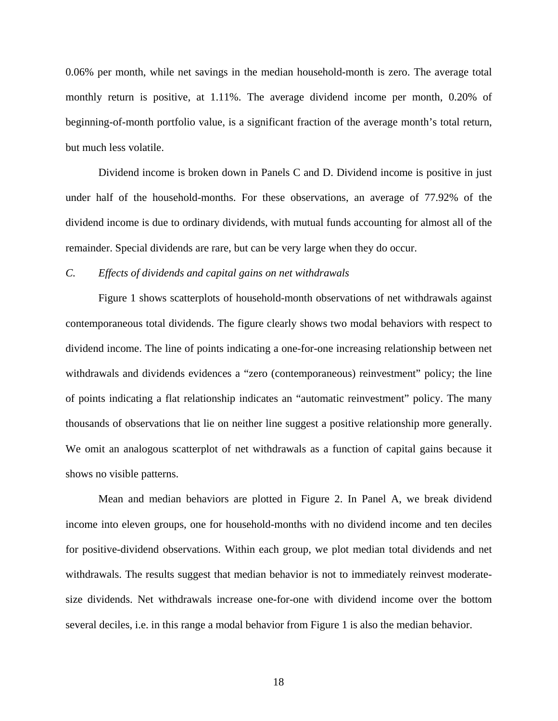0.06% per month, while net savings in the median household-month is zero. The average total monthly return is positive, at 1.11%. The average dividend income per month, 0.20% of beginning-of-month portfolio value, is a significant fraction of the average month's total return, but much less volatile.

Dividend income is broken down in Panels C and D. Dividend income is positive in just under half of the household-months. For these observations, an average of 77.92% of the dividend income is due to ordinary dividends, with mutual funds accounting for almost all of the remainder. Special dividends are rare, but can be very large when they do occur.

#### *C. Effects of dividends and capital gains on net withdrawals*

Figure 1 shows scatterplots of household-month observations of net withdrawals against contemporaneous total dividends. The figure clearly shows two modal behaviors with respect to dividend income. The line of points indicating a one-for-one increasing relationship between net withdrawals and dividends evidences a "zero (contemporaneous) reinvestment" policy; the line of points indicating a flat relationship indicates an "automatic reinvestment" policy. The many thousands of observations that lie on neither line suggest a positive relationship more generally. We omit an analogous scatterplot of net withdrawals as a function of capital gains because it shows no visible patterns.

Mean and median behaviors are plotted in Figure 2. In Panel A, we break dividend income into eleven groups, one for household-months with no dividend income and ten deciles for positive-dividend observations. Within each group, we plot median total dividends and net withdrawals. The results suggest that median behavior is not to immediately reinvest moderatesize dividends. Net withdrawals increase one-for-one with dividend income over the bottom several deciles, i.e. in this range a modal behavior from Figure 1 is also the median behavior.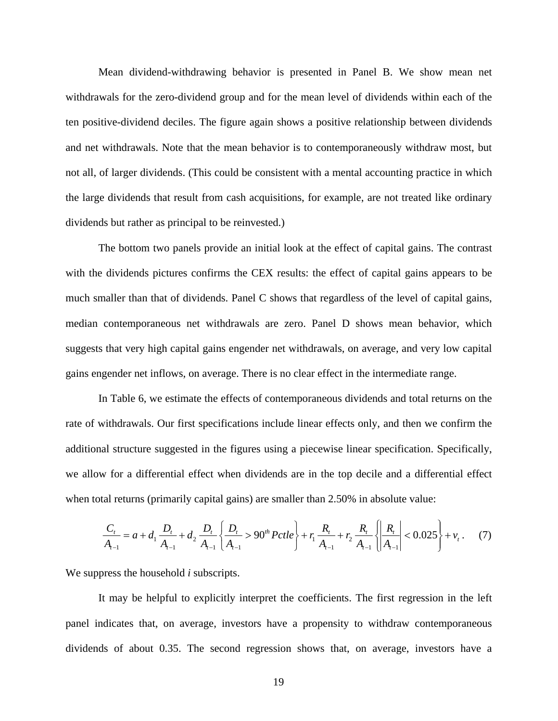Mean dividend-withdrawing behavior is presented in Panel B. We show mean net withdrawals for the zero-dividend group and for the mean level of dividends within each of the ten positive-dividend deciles. The figure again shows a positive relationship between dividends and net withdrawals. Note that the mean behavior is to contemporaneously withdraw most, but not all, of larger dividends. (This could be consistent with a mental accounting practice in which the large dividends that result from cash acquisitions, for example, are not treated like ordinary dividends but rather as principal to be reinvested.)

The bottom two panels provide an initial look at the effect of capital gains. The contrast with the dividends pictures confirms the CEX results: the effect of capital gains appears to be much smaller than that of dividends. Panel C shows that regardless of the level of capital gains, median contemporaneous net withdrawals are zero. Panel D shows mean behavior, which suggests that very high capital gains engender net withdrawals, on average, and very low capital gains engender net inflows, on average. There is no clear effect in the intermediate range.

In Table 6, we estimate the effects of contemporaneous dividends and total returns on the rate of withdrawals. Our first specifications include linear effects only, and then we confirm the additional structure suggested in the figures using a piecewise linear specification. Specifically, we allow for a differential effect when dividends are in the top decile and a differential effect when total returns (primarily capital gains) are smaller than 2.50% in absolute value:

$$
\frac{C_t}{A_{t-1}} = a + d_1 \frac{D_t}{A_{t-1}} + d_2 \frac{D_t}{A_{t-1}} \left\{ \frac{D_t}{A_{t-1}} > 90^{th} \text{Pctle} \right\} + r_1 \frac{R_t}{A_{t-1}} + r_2 \frac{R_t}{A_{t-1}} \left\{ \left| \frac{R_t}{A_{t-1}} \right| < 0.025 \right\} + v_t. \tag{7}
$$

We suppress the household *i* subscripts.

It may be helpful to explicitly interpret the coefficients. The first regression in the left panel indicates that, on average, investors have a propensity to withdraw contemporaneous dividends of about 0.35. The second regression shows that, on average, investors have a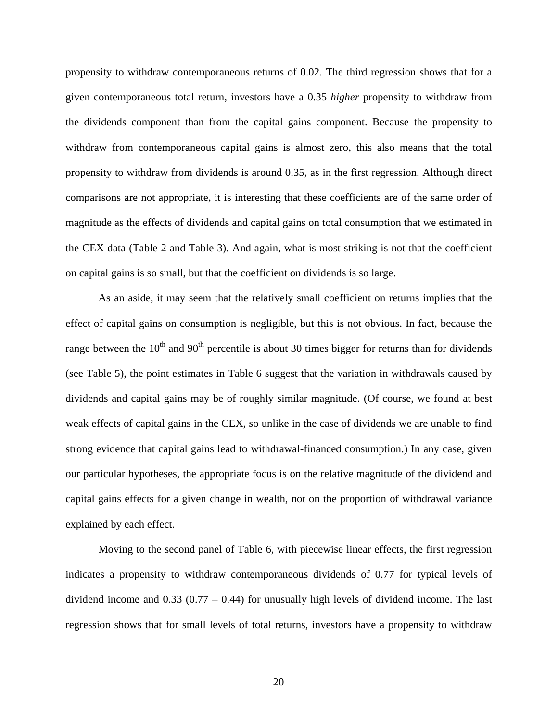propensity to withdraw contemporaneous returns of 0.02. The third regression shows that for a given contemporaneous total return, investors have a 0.35 *higher* propensity to withdraw from the dividends component than from the capital gains component. Because the propensity to withdraw from contemporaneous capital gains is almost zero, this also means that the total propensity to withdraw from dividends is around 0.35, as in the first regression. Although direct comparisons are not appropriate, it is interesting that these coefficients are of the same order of magnitude as the effects of dividends and capital gains on total consumption that we estimated in the CEX data (Table 2 and Table 3). And again, what is most striking is not that the coefficient on capital gains is so small, but that the coefficient on dividends is so large.

As an aside, it may seem that the relatively small coefficient on returns implies that the effect of capital gains on consumption is negligible, but this is not obvious. In fact, because the range between the  $10<sup>th</sup>$  and  $90<sup>th</sup>$  percentile is about 30 times bigger for returns than for dividends (see Table 5), the point estimates in Table 6 suggest that the variation in withdrawals caused by dividends and capital gains may be of roughly similar magnitude. (Of course, we found at best weak effects of capital gains in the CEX, so unlike in the case of dividends we are unable to find strong evidence that capital gains lead to withdrawal-financed consumption.) In any case, given our particular hypotheses, the appropriate focus is on the relative magnitude of the dividend and capital gains effects for a given change in wealth, not on the proportion of withdrawal variance explained by each effect.

Moving to the second panel of Table 6, with piecewise linear effects, the first regression indicates a propensity to withdraw contemporaneous dividends of 0.77 for typical levels of dividend income and  $0.33$  ( $0.77 - 0.44$ ) for unusually high levels of dividend income. The last regression shows that for small levels of total returns, investors have a propensity to withdraw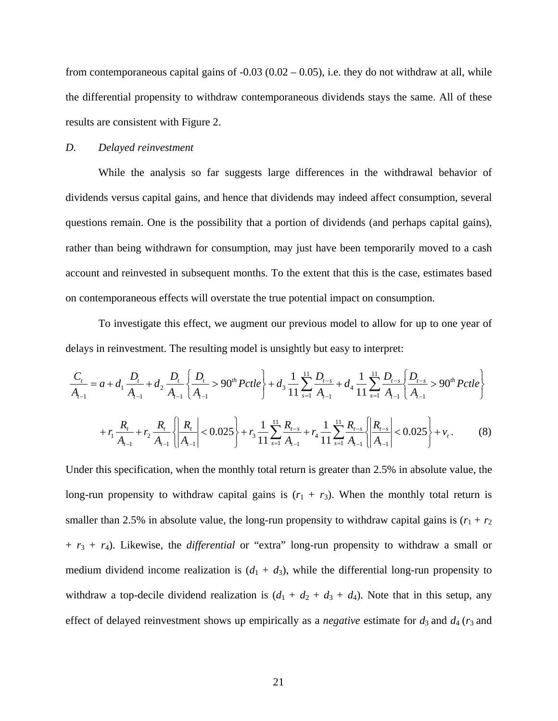from contemporaneous capital gains of  $-0.03$  ( $0.02 - 0.05$ ), i.e. they do not withdraw at all, while the differential propensity to withdraw contemporaneous dividends stays the same. All of these results are consistent with Figure 2.

#### *D. Delayed reinvestment*

While the analysis so far suggests large differences in the withdrawal behavior of dividends versus capital gains, and hence that dividends may indeed affect consumption, several questions remain. One is the possibility that a portion of dividends (and perhaps capital gains), rather than being withdrawn for consumption, may just have been temporarily moved to a cash account and reinvested in subsequent months. To the extent that this is the case, estimates based on contemporaneous effects will overstate the true potential impact on consumption.

To investigate this effect, we augment our previous model to allow for up to one year of delays in reinvestment. The resulting model is unsightly but easy to interpret:

$$
\frac{C_{t}}{A_{t-1}} = a + d_{1} \frac{D_{t}}{A_{t-1}} + d_{2} \frac{D_{t}}{A_{t-1}} \left\{ \frac{D_{t}}{A_{t-1}} > 90^{th} Pctle \right\} + d_{3} \frac{1}{11} \sum_{s=1}^{11} \frac{D_{t-s}}{A_{t-1}} + d_{4} \frac{1}{11} \sum_{s=1}^{11} \frac{D_{t-s}}{A_{t-1}} \left\{ \frac{D_{t-s}}{A_{t-1}} > 90^{th} Pctle \right\}
$$
  
+  $r_{1} \frac{R_{t}}{A_{t-1}} + r_{2} \frac{R_{t}}{A_{t-1}} \left\{ \left| \frac{R_{t}}{A_{t-1}} \right| < 0.025 \right\} + r_{3} \frac{1}{11} \sum_{s=1}^{11} \frac{R_{t-s}}{A_{t-1}} + r_{4} \frac{1}{11} \sum_{s=1}^{11} \frac{R_{t-s}}{A_{t-1}} \left\{ \left| \frac{R_{t-s}}{A_{t-1}} \right| < 0.025 \right\} + v_{t}.$  (8)

Under this specification, when the monthly total return is greater than 2.5% in absolute value, the long-run propensity to withdraw capital gains is  $(r_1 + r_3)$ . When the monthly total return is smaller than 2.5% in absolute value, the long-run propensity to withdraw capital gains is  $(r_1 + r_2)$ + *r*3 *+ r*4). Likewise, the *differential* or "extra" long-run propensity to withdraw a small or medium dividend income realization is  $(d_1 + d_3)$ , while the differential long-run propensity to withdraw a top-decile dividend realization is  $(d_1 + d_2 + d_3 + d_4)$ . Note that in this setup, any effect of delayed reinvestment shows up empirically as a *negative* estimate for  $d_3$  and  $d_4$  ( $r_3$  and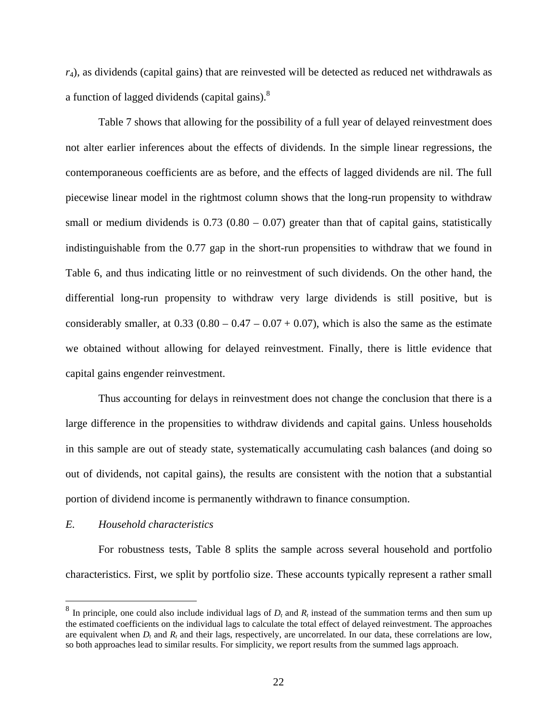*r*4), as dividends (capital gains) that are reinvested will be detected as reduced net withdrawals as a function of lagged dividends (capital gains). $8$ 

Table 7 shows that allowing for the possibility of a full year of delayed reinvestment does not alter earlier inferences about the effects of dividends. In the simple linear regressions, the contemporaneous coefficients are as before, and the effects of lagged dividends are nil. The full piecewise linear model in the rightmost column shows that the long-run propensity to withdraw small or medium dividends is  $0.73$   $(0.80 - 0.07)$  greater than that of capital gains, statistically indistinguishable from the 0.77 gap in the short-run propensities to withdraw that we found in Table 6, and thus indicating little or no reinvestment of such dividends. On the other hand, the differential long-run propensity to withdraw very large dividends is still positive, but is considerably smaller, at  $0.33$   $(0.80 - 0.47 - 0.07 + 0.07)$ , which is also the same as the estimate we obtained without allowing for delayed reinvestment. Finally, there is little evidence that capital gains engender reinvestment.

Thus accounting for delays in reinvestment does not change the conclusion that there is a large difference in the propensities to withdraw dividends and capital gains. Unless households in this sample are out of steady state, systematically accumulating cash balances (and doing so out of dividends, not capital gains), the results are consistent with the notion that a substantial portion of dividend income is permanently withdrawn to finance consumption.

#### *E. Household characteristics*

 $\overline{a}$ 

For robustness tests, Table 8 splits the sample across several household and portfolio characteristics. First, we split by portfolio size. These accounts typically represent a rather small

<span id="page-22-0"></span> $8$  In principle, one could also include individual lags of  $D_t$  and  $R_t$  instead of the summation terms and then sum up the estimated coefficients on the individual lags to calculate the total effect of delayed reinvestment. The approaches are equivalent when  $D_t$  and  $R_t$  and their lags, respectively, are uncorrelated. In our data, these correlations are low, so both approaches lead to similar results. For simplicity, we report results from the summed lags approach.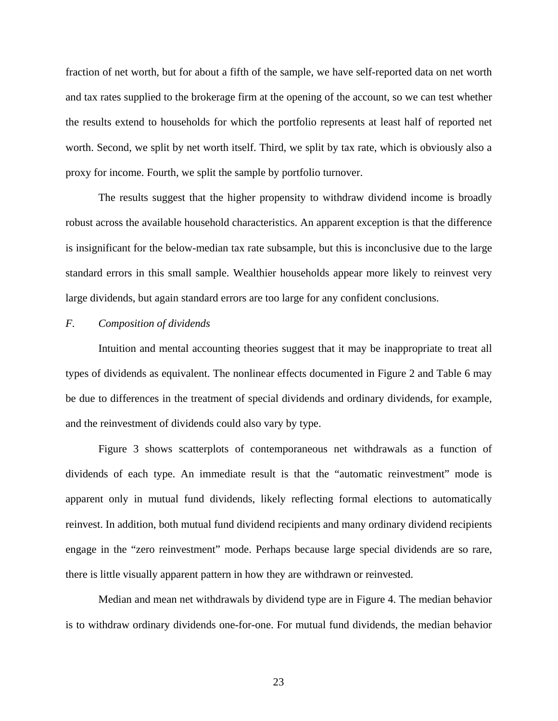fraction of net worth, but for about a fifth of the sample, we have self-reported data on net worth and tax rates supplied to the brokerage firm at the opening of the account, so we can test whether the results extend to households for which the portfolio represents at least half of reported net worth. Second, we split by net worth itself. Third, we split by tax rate, which is obviously also a proxy for income. Fourth, we split the sample by portfolio turnover.

The results suggest that the higher propensity to withdraw dividend income is broadly robust across the available household characteristics. An apparent exception is that the difference is insignificant for the below-median tax rate subsample, but this is inconclusive due to the large standard errors in this small sample. Wealthier households appear more likely to reinvest very large dividends, but again standard errors are too large for any confident conclusions.

#### *F. Composition of dividends*

Intuition and mental accounting theories suggest that it may be inappropriate to treat all types of dividends as equivalent. The nonlinear effects documented in Figure 2 and Table 6 may be due to differences in the treatment of special dividends and ordinary dividends, for example, and the reinvestment of dividends could also vary by type.

Figure 3 shows scatterplots of contemporaneous net withdrawals as a function of dividends of each type. An immediate result is that the "automatic reinvestment" mode is apparent only in mutual fund dividends, likely reflecting formal elections to automatically reinvest. In addition, both mutual fund dividend recipients and many ordinary dividend recipients engage in the "zero reinvestment" mode. Perhaps because large special dividends are so rare, there is little visually apparent pattern in how they are withdrawn or reinvested.

Median and mean net withdrawals by dividend type are in Figure 4. The median behavior is to withdraw ordinary dividends one-for-one. For mutual fund dividends, the median behavior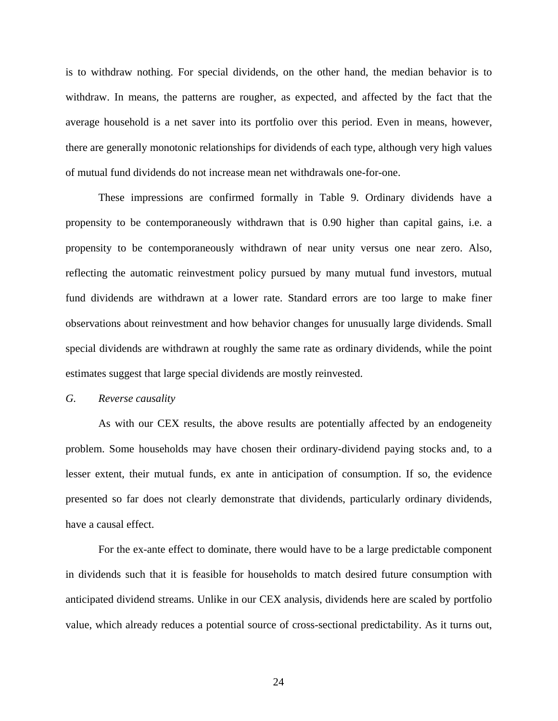is to withdraw nothing. For special dividends, on the other hand, the median behavior is to withdraw. In means, the patterns are rougher, as expected, and affected by the fact that the average household is a net saver into its portfolio over this period. Even in means, however, there are generally monotonic relationships for dividends of each type, although very high values of mutual fund dividends do not increase mean net withdrawals one-for-one.

These impressions are confirmed formally in Table 9. Ordinary dividends have a propensity to be contemporaneously withdrawn that is 0.90 higher than capital gains, i.e. a propensity to be contemporaneously withdrawn of near unity versus one near zero. Also, reflecting the automatic reinvestment policy pursued by many mutual fund investors, mutual fund dividends are withdrawn at a lower rate. Standard errors are too large to make finer observations about reinvestment and how behavior changes for unusually large dividends. Small special dividends are withdrawn at roughly the same rate as ordinary dividends, while the point estimates suggest that large special dividends are mostly reinvested.

#### *G. Reverse causality*

As with our CEX results, the above results are potentially affected by an endogeneity problem. Some households may have chosen their ordinary-dividend paying stocks and, to a lesser extent, their mutual funds, ex ante in anticipation of consumption. If so, the evidence presented so far does not clearly demonstrate that dividends, particularly ordinary dividends, have a causal effect.

For the ex-ante effect to dominate, there would have to be a large predictable component in dividends such that it is feasible for households to match desired future consumption with anticipated dividend streams. Unlike in our CEX analysis, dividends here are scaled by portfolio value, which already reduces a potential source of cross-sectional predictability. As it turns out,

24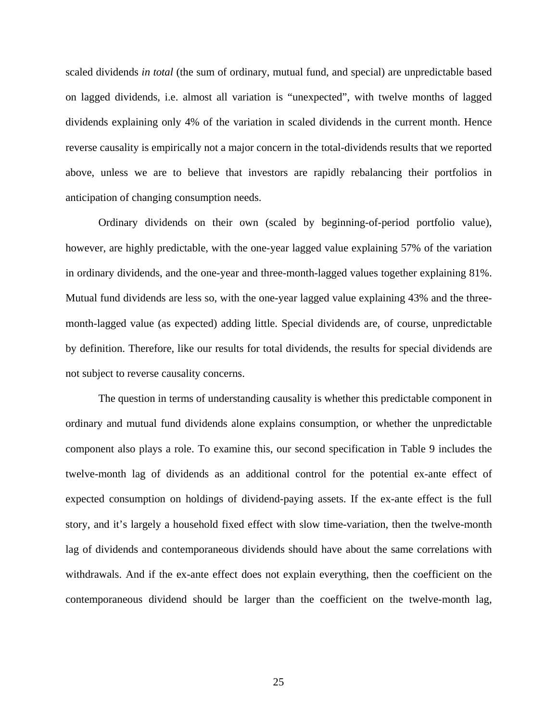scaled dividends *in total* (the sum of ordinary, mutual fund, and special) are unpredictable based on lagged dividends, i.e. almost all variation is "unexpected", with twelve months of lagged dividends explaining only 4% of the variation in scaled dividends in the current month. Hence reverse causality is empirically not a major concern in the total-dividends results that we reported above, unless we are to believe that investors are rapidly rebalancing their portfolios in anticipation of changing consumption needs.

Ordinary dividends on their own (scaled by beginning-of-period portfolio value), however, are highly predictable, with the one-year lagged value explaining 57% of the variation in ordinary dividends, and the one-year and three-month-lagged values together explaining 81%. Mutual fund dividends are less so, with the one-year lagged value explaining 43% and the threemonth-lagged value (as expected) adding little. Special dividends are, of course, unpredictable by definition. Therefore, like our results for total dividends, the results for special dividends are not subject to reverse causality concerns.

The question in terms of understanding causality is whether this predictable component in ordinary and mutual fund dividends alone explains consumption, or whether the unpredictable component also plays a role. To examine this, our second specification in Table 9 includes the twelve-month lag of dividends as an additional control for the potential ex-ante effect of expected consumption on holdings of dividend-paying assets. If the ex-ante effect is the full story, and it's largely a household fixed effect with slow time-variation, then the twelve-month lag of dividends and contemporaneous dividends should have about the same correlations with withdrawals. And if the ex-ante effect does not explain everything, then the coefficient on the contemporaneous dividend should be larger than the coefficient on the twelve-month lag,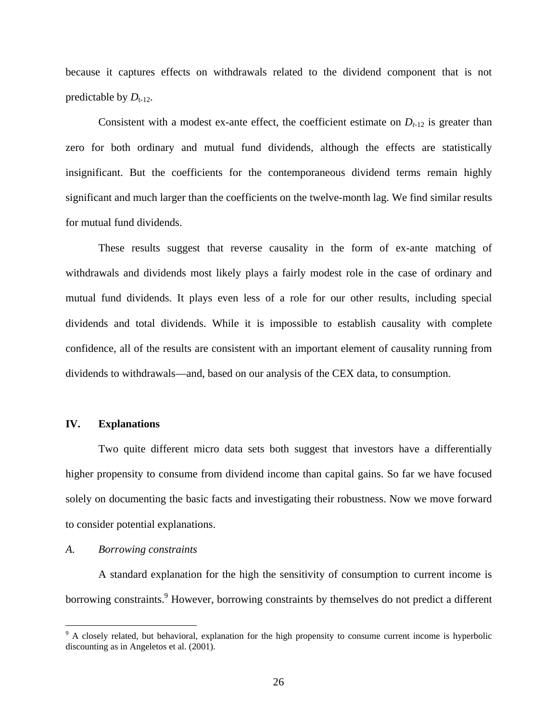because it captures effects on withdrawals related to the dividend component that is not predictable by  $D_{t-12}$ .

Consistent with a modest ex-ante effect, the coefficient estimate on  $D_{t-12}$  is greater than zero for both ordinary and mutual fund dividends, although the effects are statistically insignificant. But the coefficients for the contemporaneous dividend terms remain highly significant and much larger than the coefficients on the twelve-month lag. We find similar results for mutual fund dividends.

These results suggest that reverse causality in the form of ex-ante matching of withdrawals and dividends most likely plays a fairly modest role in the case of ordinary and mutual fund dividends. It plays even less of a role for our other results, including special dividends and total dividends. While it is impossible to establish causality with complete confidence, all of the results are consistent with an important element of causality running from dividends to withdrawals—and, based on our analysis of the CEX data, to consumption.

#### **IV. Explanations**

Two quite different micro data sets both suggest that investors have a differentially higher propensity to consume from dividend income than capital gains. So far we have focused solely on documenting the basic facts and investigating their robustness. Now we move forward to consider potential explanations.

*A. Borrowing constraints* 

 $\overline{a}$ 

A standard explanation for the high the sensitivity of consumption to current income is borrowing constraints.<sup>[9](#page-26-0)</sup> However, borrowing constraints by themselves do not predict a different

<span id="page-26-0"></span><sup>&</sup>lt;sup>9</sup> A closely related, but behavioral, explanation for the high propensity to consume current income is hyperbolic discounting as in Angeletos et al. (2001).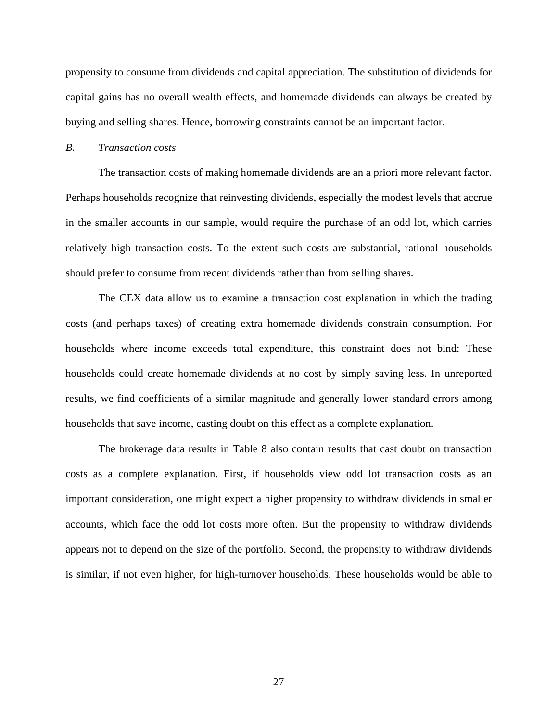propensity to consume from dividends and capital appreciation. The substitution of dividends for capital gains has no overall wealth effects, and homemade dividends can always be created by buying and selling shares. Hence, borrowing constraints cannot be an important factor.

#### *B. Transaction costs*

The transaction costs of making homemade dividends are an a priori more relevant factor. Perhaps households recognize that reinvesting dividends, especially the modest levels that accrue in the smaller accounts in our sample, would require the purchase of an odd lot, which carries relatively high transaction costs. To the extent such costs are substantial, rational households should prefer to consume from recent dividends rather than from selling shares.

The CEX data allow us to examine a transaction cost explanation in which the trading costs (and perhaps taxes) of creating extra homemade dividends constrain consumption. For households where income exceeds total expenditure, this constraint does not bind: These households could create homemade dividends at no cost by simply saving less. In unreported results, we find coefficients of a similar magnitude and generally lower standard errors among households that save income, casting doubt on this effect as a complete explanation.

The brokerage data results in Table 8 also contain results that cast doubt on transaction costs as a complete explanation. First, if households view odd lot transaction costs as an important consideration, one might expect a higher propensity to withdraw dividends in smaller accounts, which face the odd lot costs more often. But the propensity to withdraw dividends appears not to depend on the size of the portfolio. Second, the propensity to withdraw dividends is similar, if not even higher, for high-turnover households. These households would be able to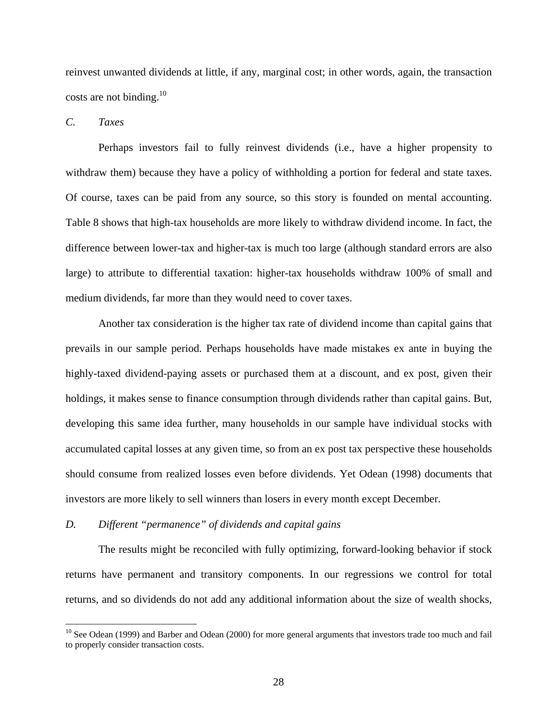reinvest unwanted dividends at little, if any, marginal cost; in other words, again, the transaction costs are not binding.<sup>10</sup>

## *C. Taxes*

 $\overline{a}$ 

Perhaps investors fail to fully reinvest dividends (i.e., have a higher propensity to withdraw them) because they have a policy of withholding a portion for federal and state taxes. Of course, taxes can be paid from any source, so this story is founded on mental accounting. Table 8 shows that high-tax households are more likely to withdraw dividend income. In fact, the difference between lower-tax and higher-tax is much too large (although standard errors are also large) to attribute to differential taxation: higher-tax households withdraw 100% of small and medium dividends, far more than they would need to cover taxes.

Another tax consideration is the higher tax rate of dividend income than capital gains that prevails in our sample period. Perhaps households have made mistakes ex ante in buying the highly-taxed dividend-paying assets or purchased them at a discount, and ex post, given their holdings, it makes sense to finance consumption through dividends rather than capital gains. But, developing this same idea further, many households in our sample have individual stocks with accumulated capital losses at any given time, so from an ex post tax perspective these households should consume from realized losses even before dividends. Yet Odean (1998) documents that investors are more likely to sell winners than losers in every month except December.

#### *D. Different "permanence" of dividends and capital gains*

The results might be reconciled with fully optimizing, forward-looking behavior if stock returns have permanent and transitory components. In our regressions we control for total returns, and so dividends do not add any additional information about the size of wealth shocks,

<span id="page-28-0"></span> $10$  See Odean (1999) and Barber and Odean (2000) for more general arguments that investors trade too much and fail to properly consider transaction costs.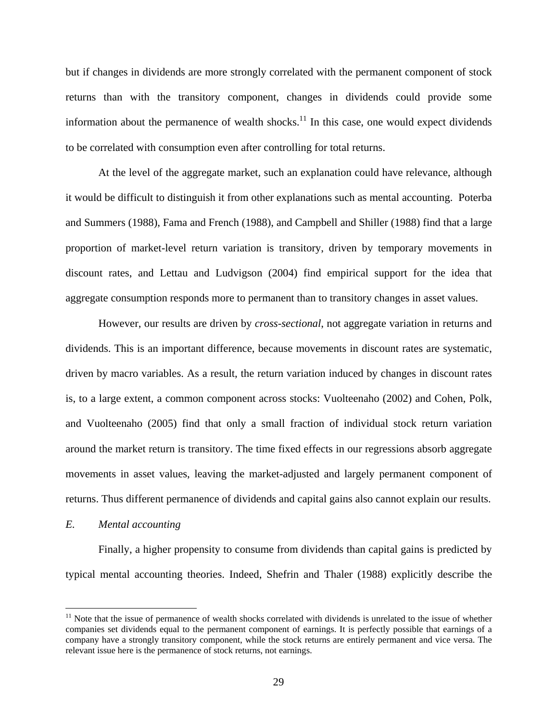but if changes in dividends are more strongly correlated with the permanent component of stock returns than with the transitory component, changes in dividends could provide some information about the permanence of wealth shocks.<sup>11</sup> In this case, one would expect dividends to be correlated with consumption even after controlling for total returns.

At the level of the aggregate market, such an explanation could have relevance, although it would be difficult to distinguish it from other explanations such as mental accounting. Poterba and Summers (1988), Fama and French (1988), and Campbell and Shiller (1988) find that a large proportion of market-level return variation is transitory, driven by temporary movements in discount rates, and Lettau and Ludvigson (2004) find empirical support for the idea that aggregate consumption responds more to permanent than to transitory changes in asset values.

However, our results are driven by *cross-sectional*, not aggregate variation in returns and dividends. This is an important difference, because movements in discount rates are systematic, driven by macro variables. As a result, the return variation induced by changes in discount rates is, to a large extent, a common component across stocks: Vuolteenaho (2002) and Cohen, Polk, and Vuolteenaho (2005) find that only a small fraction of individual stock return variation around the market return is transitory. The time fixed effects in our regressions absorb aggregate movements in asset values, leaving the market-adjusted and largely permanent component of returns. Thus different permanence of dividends and capital gains also cannot explain our results.

#### *E. Mental accounting*

 $\overline{a}$ 

Finally, a higher propensity to consume from dividends than capital gains is predicted by typical mental accounting theories. Indeed, Shefrin and Thaler (1988) explicitly describe the

<span id="page-29-0"></span> $11$  Note that the issue of permanence of wealth shocks correlated with dividends is unrelated to the issue of whether companies set dividends equal to the permanent component of earnings. It is perfectly possible that earnings of a company have a strongly transitory component, while the stock returns are entirely permanent and vice versa. The relevant issue here is the permanence of stock returns, not earnings.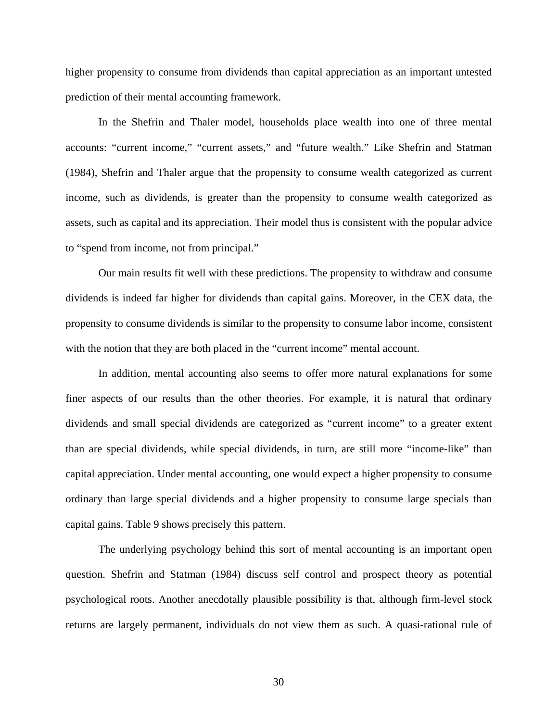higher propensity to consume from dividends than capital appreciation as an important untested prediction of their mental accounting framework.

In the Shefrin and Thaler model, households place wealth into one of three mental accounts: "current income," "current assets," and "future wealth." Like Shefrin and Statman (1984), Shefrin and Thaler argue that the propensity to consume wealth categorized as current income, such as dividends, is greater than the propensity to consume wealth categorized as assets, such as capital and its appreciation. Their model thus is consistent with the popular advice to "spend from income, not from principal."

Our main results fit well with these predictions. The propensity to withdraw and consume dividends is indeed far higher for dividends than capital gains. Moreover, in the CEX data, the propensity to consume dividends is similar to the propensity to consume labor income, consistent with the notion that they are both placed in the "current income" mental account.

In addition, mental accounting also seems to offer more natural explanations for some finer aspects of our results than the other theories. For example, it is natural that ordinary dividends and small special dividends are categorized as "current income" to a greater extent than are special dividends, while special dividends, in turn, are still more "income-like" than capital appreciation. Under mental accounting, one would expect a higher propensity to consume ordinary than large special dividends and a higher propensity to consume large specials than capital gains. Table 9 shows precisely this pattern.

The underlying psychology behind this sort of mental accounting is an important open question. Shefrin and Statman (1984) discuss self control and prospect theory as potential psychological roots. Another anecdotally plausible possibility is that, although firm-level stock returns are largely permanent, individuals do not view them as such. A quasi-rational rule of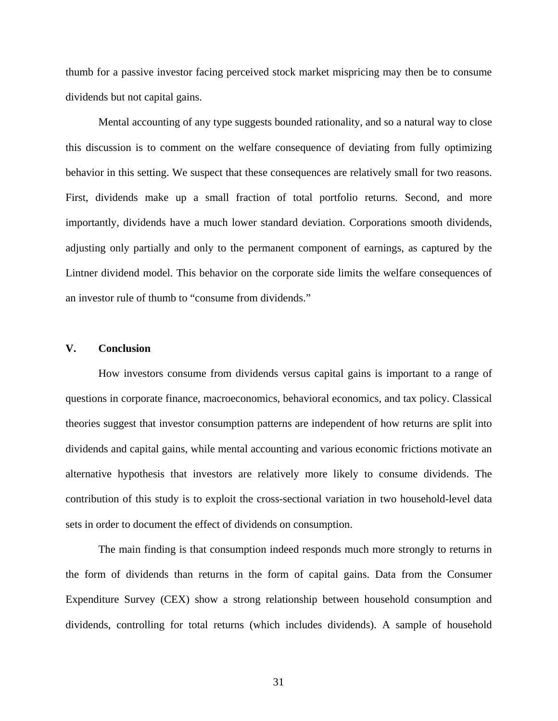thumb for a passive investor facing perceived stock market mispricing may then be to consume dividends but not capital gains.

Mental accounting of any type suggests bounded rationality, and so a natural way to close this discussion is to comment on the welfare consequence of deviating from fully optimizing behavior in this setting. We suspect that these consequences are relatively small for two reasons. First, dividends make up a small fraction of total portfolio returns. Second, and more importantly, dividends have a much lower standard deviation. Corporations smooth dividends, adjusting only partially and only to the permanent component of earnings, as captured by the Lintner dividend model. This behavior on the corporate side limits the welfare consequences of an investor rule of thumb to "consume from dividends."

#### **V. Conclusion**

How investors consume from dividends versus capital gains is important to a range of questions in corporate finance, macroeconomics, behavioral economics, and tax policy. Classical theories suggest that investor consumption patterns are independent of how returns are split into dividends and capital gains, while mental accounting and various economic frictions motivate an alternative hypothesis that investors are relatively more likely to consume dividends. The contribution of this study is to exploit the cross-sectional variation in two household-level data sets in order to document the effect of dividends on consumption.

The main finding is that consumption indeed responds much more strongly to returns in the form of dividends than returns in the form of capital gains. Data from the Consumer Expenditure Survey (CEX) show a strong relationship between household consumption and dividends, controlling for total returns (which includes dividends). A sample of household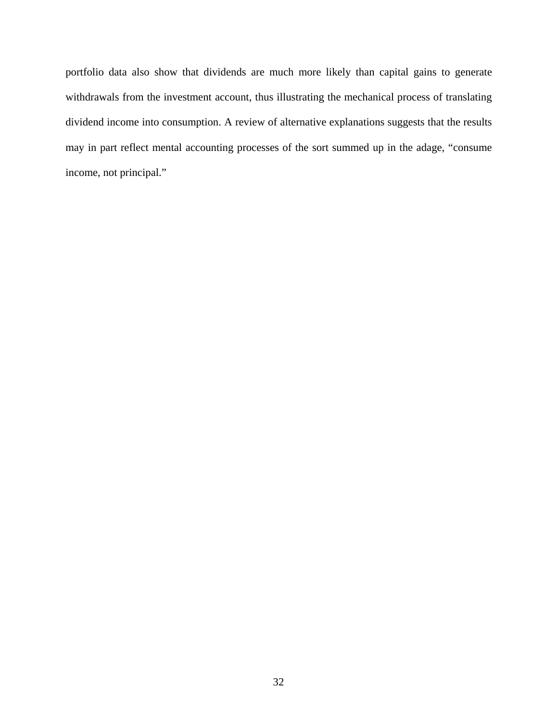portfolio data also show that dividends are much more likely than capital gains to generate withdrawals from the investment account, thus illustrating the mechanical process of translating dividend income into consumption. A review of alternative explanations suggests that the results may in part reflect mental accounting processes of the sort summed up in the adage, "consume income, not principal."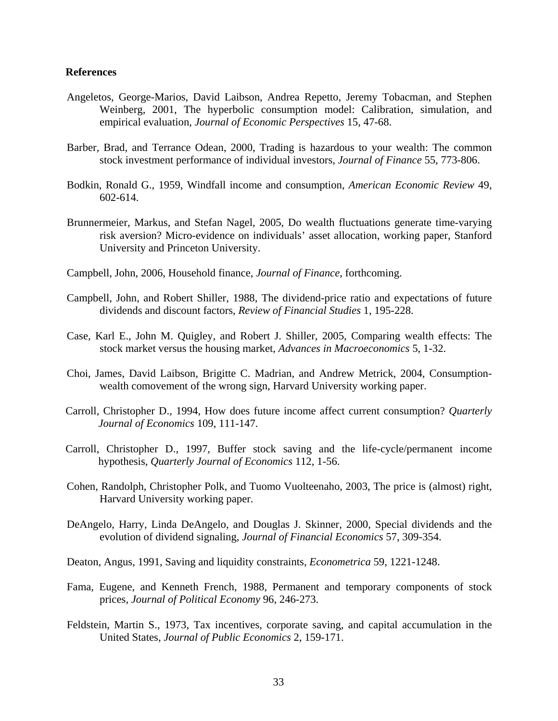#### **References**

- Angeletos, George-Marios, David Laibson, Andrea Repetto, Jeremy Tobacman, and Stephen Weinberg, 2001, The hyperbolic consumption model: Calibration, simulation, and empirical evaluation, *Journal of Economic Perspectives* 15, 47-68.
- Barber, Brad, and Terrance Odean, 2000, Trading is hazardous to your wealth: The common stock investment performance of individual investors, *Journal of Finance* 55, 773-806.
- Bodkin, Ronald G., 1959, Windfall income and consumption, *American Economic Review* 49, 602-614.
- Brunnermeier, Markus, and Stefan Nagel, 2005, Do wealth fluctuations generate time-varying risk aversion? Micro-evidence on individuals' asset allocation, working paper, Stanford University and Princeton University.
- Campbell, John, 2006, Household finance, *Journal of Finance*, forthcoming.
- Campbell, John, and Robert Shiller, 1988, The dividend-price ratio and expectations of future dividends and discount factors, *Review of Financial Studies* 1, 195-228.
- Case, Karl E., John M. Quigley, and Robert J. Shiller, 2005, Comparing wealth effects: The stock market versus the housing market, *Advances in Macroeconomics* 5, 1-32.
- Choi, James, David Laibson, Brigitte C. Madrian, and Andrew Metrick, 2004, Consumptionwealth comovement of the wrong sign, Harvard University working paper.
- Carroll, Christopher D., 1994, How does future income affect current consumption? *Quarterly Journal of Economics* 109, 111-147.
- Carroll, Christopher D., 1997, Buffer stock saving and the life-cycle/permanent income hypothesis, *Quarterly Journal of Economics* 112, 1-56.
- Cohen, Randolph, Christopher Polk, and Tuomo Vuolteenaho, 2003, The price is (almost) right, Harvard University working paper.
- DeAngelo, Harry, Linda DeAngelo, and Douglas J. Skinner, 2000, Special dividends and the evolution of dividend signaling, *Journal of Financial Economics* 57, 309-354.
- Deaton, Angus, 1991, Saving and liquidity constraints, *Econometrica* 59, 1221-1248.
- Fama, Eugene, and Kenneth French, 1988, Permanent and temporary components of stock prices, *Journal of Political Economy* 96, 246-273.
- Feldstein, Martin S., 1973, Tax incentives, corporate saving, and capital accumulation in the United States, *Journal of Public Economics* 2, 159-171.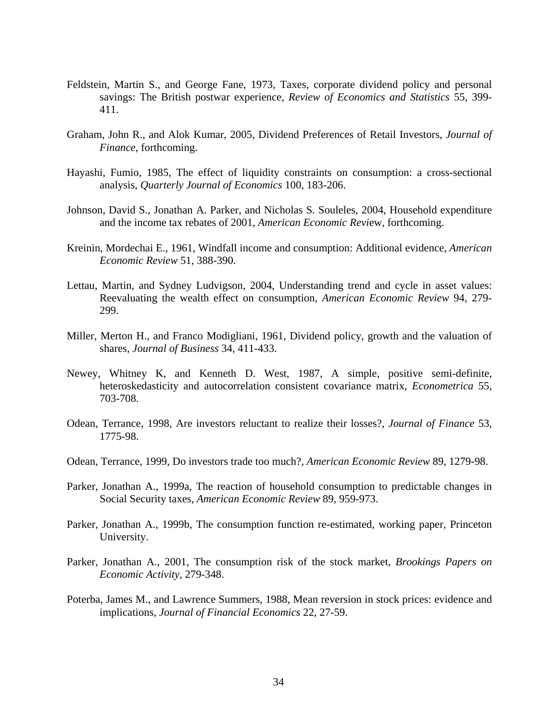- Feldstein, Martin S., and George Fane, 1973, Taxes, corporate dividend policy and personal savings: The British postwar experience, *Review of Economics and Statistics* 55, 399- 411.
- Graham, John R., and Alok Kumar, 2005, Dividend Preferences of Retail Investors, *Journal of Finance*, forthcoming.
- Hayashi, Fumio, 1985, The effect of liquidity constraints on consumption: a cross-sectional analysis, *Quarterly Journal of Economics* 100, 183-206.
- Johnson, David S., Jonathan A. Parker, and Nicholas S. Souleles, 2004, Household expenditure and the income tax rebates of 2001, *American Economic Revi*ew, forthcoming.
- Kreinin, Mordechai E., 1961, Windfall income and consumption: Additional evidence, *American Economic Review* 51, 388-390.
- Lettau, Martin, and Sydney Ludvigson, 2004, Understanding trend and cycle in asset values: Reevaluating the wealth effect on consumption, *American Economic Review* 94, 279- 299.
- Miller, Merton H., and Franco Modigliani, 1961, Dividend policy, growth and the valuation of shares, *Journal of Business* 34, 411-433.
- Newey, Whitney K, and Kenneth D. West, 1987, A simple, positive semi-definite, heteroskedasticity and autocorrelation consistent covariance matrix, *Econometrica* 55, 703-708.
- Odean, Terrance, 1998, Are investors reluctant to realize their losses?, *Journal of Finance* 53, 1775-98.
- Odean, Terrance, 1999, Do investors trade too much?, *American Economic Review* 89, 1279-98.
- Parker, Jonathan A., 1999a, The reaction of household consumption to predictable changes in Social Security taxes, *American Economic Review* 89, 959-973.
- Parker, Jonathan A., 1999b, The consumption function re-estimated, working paper, Princeton University.
- Parker, Jonathan A., 2001, The consumption risk of the stock market, *Brookings Papers on Economic Activity*, 279-348.
- Poterba, James M., and Lawrence Summers, 1988, Mean reversion in stock prices: evidence and implications, *Journal of Financial Economics* 22, 27-59.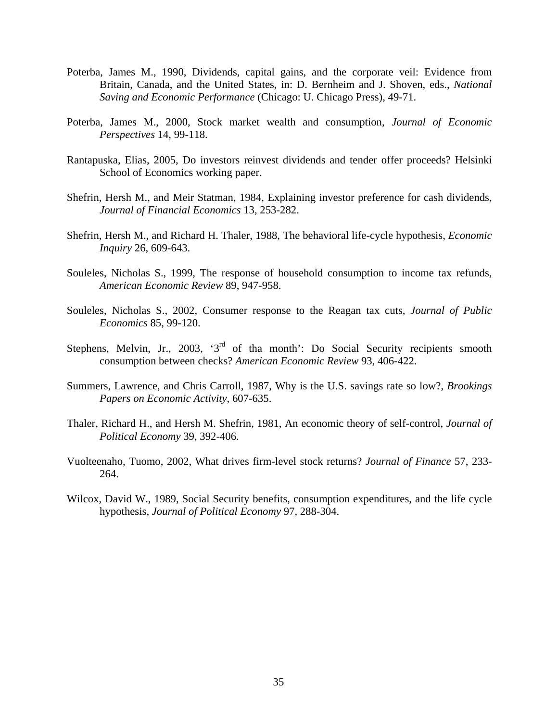- Poterba, James M., 1990, Dividends, capital gains, and the corporate veil: Evidence from Britain, Canada, and the United States, in: D. Bernheim and J. Shoven, eds., *National Saving and Economic Performance* (Chicago: U. Chicago Press), 49-71.
- Poterba, James M., 2000, Stock market wealth and consumption, *Journal of Economic Perspectives* 14, 99-118.
- Rantapuska, Elias, 2005, Do investors reinvest dividends and tender offer proceeds? Helsinki School of Economics working paper.
- Shefrin, Hersh M., and Meir Statman, 1984, Explaining investor preference for cash dividends, *Journal of Financial Economics* 13, 253-282.
- Shefrin, Hersh M., and Richard H. Thaler, 1988, The behavioral life-cycle hypothesis, *Economic Inquiry* 26, 609-643.
- Souleles, Nicholas S., 1999, The response of household consumption to income tax refunds, *American Economic Review* 89, 947-958.
- Souleles, Nicholas S., 2002, Consumer response to the Reagan tax cuts, *Journal of Public Economics* 85, 99-120.
- Stephens, Melvin, Jr., 2003, '3<sup>rd</sup> of tha month': Do Social Security recipients smooth consumption between checks? *American Economic Review* 93, 406-422.
- Summers, Lawrence, and Chris Carroll, 1987, Why is the U.S. savings rate so low?, *Brookings Papers on Economic Activity*, 607-635.
- Thaler, Richard H., and Hersh M. Shefrin, 1981, An economic theory of self-control, *Journal of Political Economy* 39, 392-406.
- Vuolteenaho, Tuomo, 2002, What drives firm-level stock returns? *Journal of Finance* 57, 233- 264.
- Wilcox, David W., 1989, Social Security benefits, consumption expenditures, and the life cycle hypothesis, *Journal of Political Economy* 97, 288-304.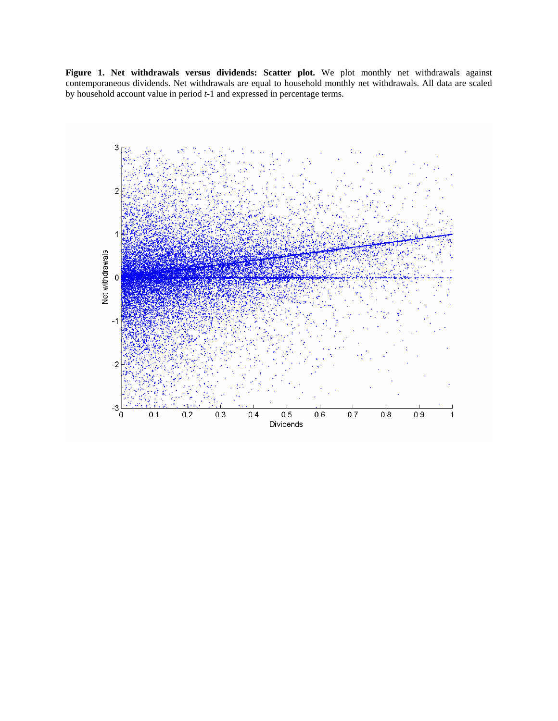**Figure 1. Net withdrawals versus dividends: Scatter plot.** We plot monthly net withdrawals against contemporaneous dividends. Net withdrawals are equal to household monthly net withdrawals. All data are scaled by household account value in period *t*-1 and expressed in percentage terms.

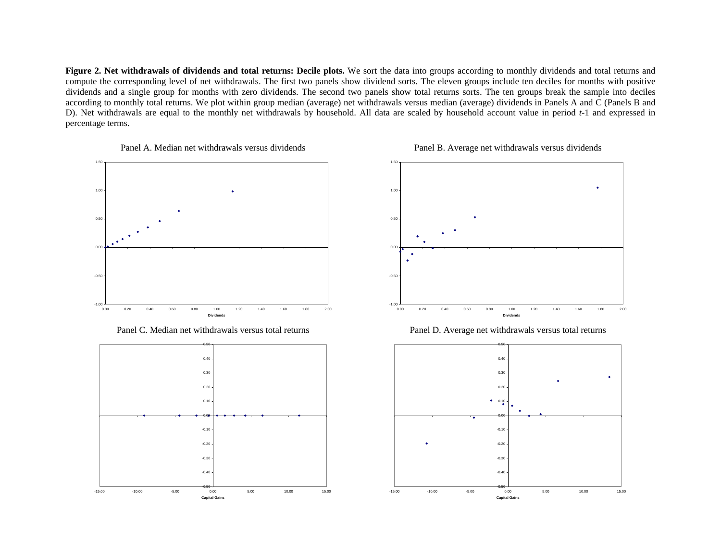**Figure 2. Net withdrawals of dividends and total returns: Decile plots.** We sort the data into groups according to monthly dividends and total returns and compute the corresponding level of net withdrawals. The first two panels show dividend sorts. The eleven groups include ten deciles for months with positive dividends and a single group for months with zero dividends. The second two panels show total returns sorts. The ten groups break the sample into deciles according to monthly total returns. We plot within group median (average) net withdrawals versus median (average) dividends in Panels A and C (Panels B and D). Net withdrawals are equal to the monthly net withdrawals by household. All data are scaled by household account value in period *t*-1 and expressed in percentage terms.





Panel C. Median net withdrawals versus total returns

-1.000.00

-0.50

 $0.0$ 

0.50

1.00

1.50





Panel D. Average net withdrawals versus total returns



Panel B. Average net withdrawals versus dividends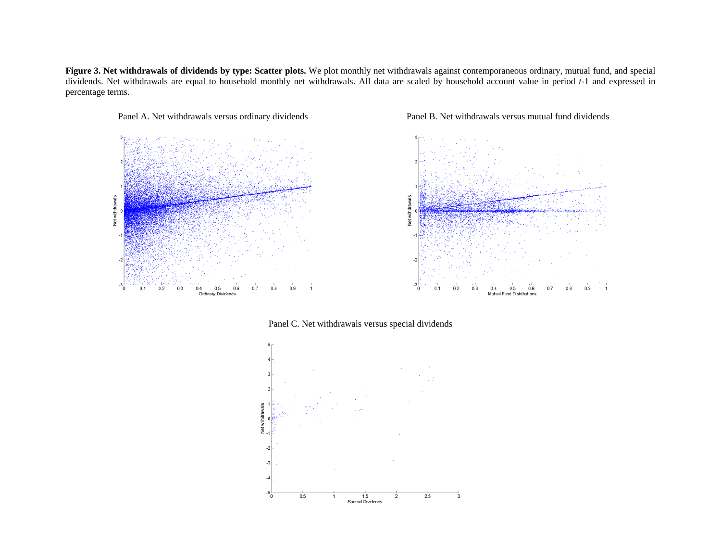**Figure 3. Net withdrawals of dividends by type: Scatter plots.** We plot monthly net withdrawals against contemporaneous ordinary, mutual fund, and special dividends. Net withdrawals are equal to household monthly net withdrawals. All data are scaled by household account value in period *<sup>t</sup>*-1 and expressed in percentage terms.



Panel A. Net withdrawals versus ordinary dividends Panel B. Net withdrawals versus mutual fund dividends



Panel C. Net withdrawals versus special dividends

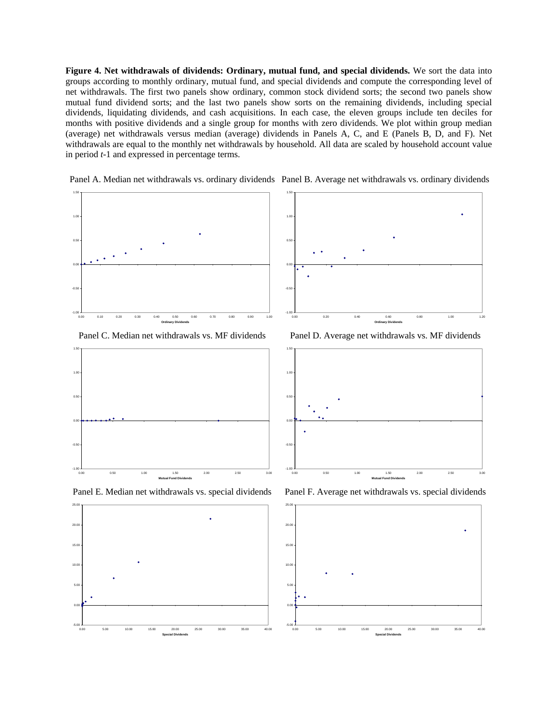**Figure 4. Net withdrawals of dividends: Ordinary, mutual fund, and special dividends.** We sort the data into groups according to monthly ordinary, mutual fund, and special dividends and compute the corresponding level of net withdrawals. The first two panels show ordinary, common stock dividend sorts; the second two panels show mutual fund dividend sorts; and the last two panels show sorts on the remaining dividends, including special dividends, liquidating dividends, and cash acquisitions. In each case, the eleven groups include ten deciles for months with positive dividends and a single group for months with zero dividends. We plot within group median (average) net withdrawals versus median (average) dividends in Panels A, C, and E (Panels B, D, and F). Net withdrawals are equal to the monthly net withdrawals by household. All data are scaled by household account value in period *t*-1 and expressed in percentage terms.



1.50

1.50



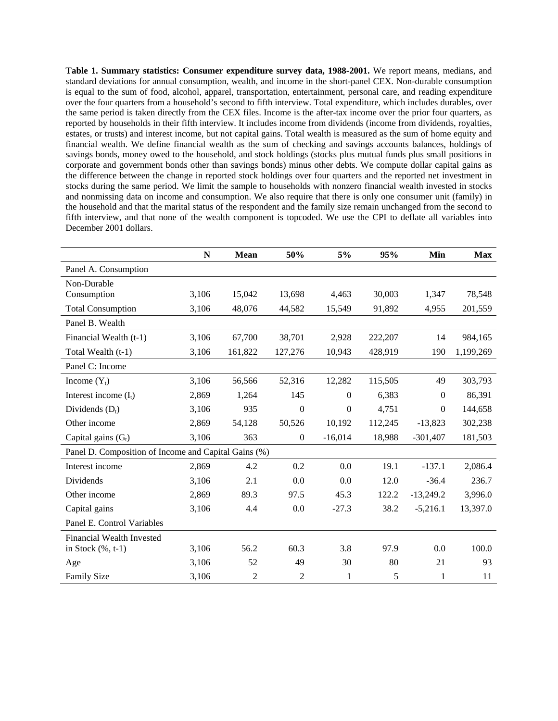**Table 1. Summary statistics: Consumer expenditure survey data, 1988-2001.** We report means, medians, and standard deviations for annual consumption, wealth, and income in the short-panel CEX. Non-durable consumption is equal to the sum of food, alcohol, apparel, transportation, entertainment, personal care, and reading expenditure over the four quarters from a household's second to fifth interview. Total expenditure, which includes durables, over the same period is taken directly from the CEX files. Income is the after-tax income over the prior four quarters, as reported by households in their fifth interview. It includes income from dividends (income from dividends, royalties, estates, or trusts) and interest income, but not capital gains. Total wealth is measured as the sum of home equity and financial wealth. We define financial wealth as the sum of checking and savings accounts balances, holdings of savings bonds, money owed to the household, and stock holdings (stocks plus mutual funds plus small positions in corporate and government bonds other than savings bonds) minus other debts. We compute dollar capital gains as the difference between the change in reported stock holdings over four quarters and the reported net investment in stocks during the same period. We limit the sample to households with nonzero financial wealth invested in stocks and nonmissing data on income and consumption. We also require that there is only one consumer unit (family) in the household and that the marital status of the respondent and the family size remain unchanged from the second to fifth interview, and that none of the wealth component is topcoded. We use the CPI to deflate all variables into December 2001 dollars.

|                                                      | N     | <b>Mean</b>    | 50%              | 5%           | 95%     | Min          | <b>Max</b> |
|------------------------------------------------------|-------|----------------|------------------|--------------|---------|--------------|------------|
| Panel A. Consumption                                 |       |                |                  |              |         |              |            |
| Non-Durable                                          |       |                |                  |              |         |              |            |
| Consumption                                          | 3,106 | 15,042         | 13,698           | 4,463        | 30,003  | 1,347        | 78,548     |
| <b>Total Consumption</b>                             | 3,106 | 48,076         | 44,582           | 15,549       | 91,892  | 4,955        | 201,559    |
| Panel B. Wealth                                      |       |                |                  |              |         |              |            |
| Financial Wealth (t-1)                               | 3,106 | 67,700         | 38,701           | 2,928        | 222,207 | 14           | 984,165    |
| Total Wealth (t-1)                                   | 3,106 | 161,822        | 127,276          | 10,943       | 428,919 | 190          | 1,199,269  |
| Panel C: Income                                      |       |                |                  |              |         |              |            |
| Income $(Y_t)$                                       | 3,106 | 56,566         | 52,316           | 12,282       | 115,505 | 49           | 303,793    |
| Interest income $(I_t)$                              | 2,869 | 1,264          | 145              | $\theta$     | 6,383   | $\mathbf{0}$ | 86,391     |
| Dividends $(D_t)$                                    | 3,106 | 935            | $\boldsymbol{0}$ | $\theta$     | 4,751   | $\mathbf{0}$ | 144,658    |
| Other income                                         | 2,869 | 54,128         | 50,526           | 10,192       | 112,245 | $-13,823$    | 302,238    |
| Capital gains $(G_t)$                                | 3,106 | 363            | $\boldsymbol{0}$ | $-16,014$    | 18,988  | $-301,407$   | 181,503    |
| Panel D. Composition of Income and Capital Gains (%) |       |                |                  |              |         |              |            |
| Interest income                                      | 2,869 | 4.2            | 0.2              | 0.0          | 19.1    | $-137.1$     | 2,086.4    |
| Dividends                                            | 3,106 | 2.1            | 0.0              | 0.0          | 12.0    | $-36.4$      | 236.7      |
| Other income                                         | 2,869 | 89.3           | 97.5             | 45.3         | 122.2   | $-13,249.2$  | 3,996.0    |
| Capital gains                                        | 3,106 | 4.4            | 0.0              | $-27.3$      | 38.2    | $-5,216.1$   | 13,397.0   |
| Panel E. Control Variables                           |       |                |                  |              |         |              |            |
| Financial Wealth Invested                            |       |                |                  |              |         |              |            |
| in Stock $(\% , t-1)$                                | 3,106 | 56.2           | 60.3             | 3.8          | 97.9    | 0.0          | 100.0      |
| Age                                                  | 3,106 | 52             | 49               | 30           | 80      | 21           | 93         |
| Family Size                                          | 3,106 | $\overline{2}$ | 2                | $\mathbf{1}$ | 5       | 1            | 11         |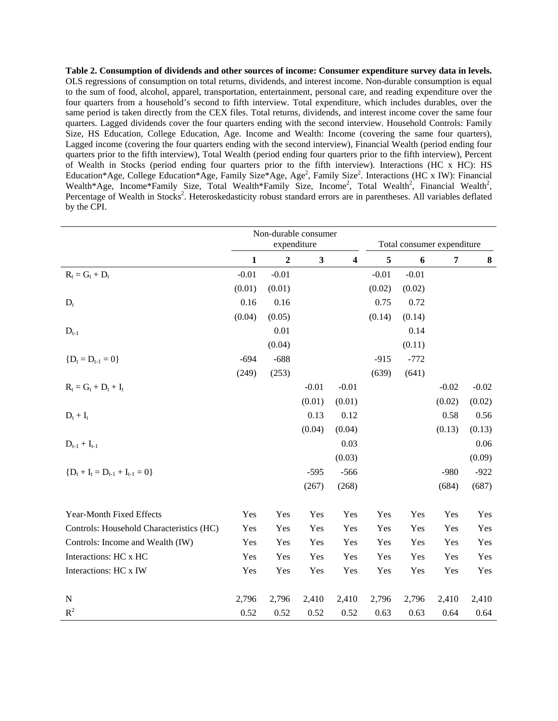**Table 2. Consumption of dividends and other sources of income: Consumer expenditure survey data in levels.**  OLS regressions of consumption on total returns, dividends, and interest income. Non-durable consumption is equal to the sum of food, alcohol, apparel, transportation, entertainment, personal care, and reading expenditure over the four quarters from a household's second to fifth interview. Total expenditure, which includes durables, over the same period is taken directly from the CEX files. Total returns, dividends, and interest income cover the same four quarters. Lagged dividends cover the four quarters ending with the second interview. Household Controls: Family Size, HS Education, College Education, Age. Income and Wealth: Income (covering the same four quarters), Lagged income (covering the four quarters ending with the second interview), Financial Wealth (period ending four quarters prior to the fifth interview), Total Wealth (period ending four quarters prior to the fifth interview), Percent of Wealth in Stocks (period ending four quarters prior to the fifth interview). Interactions (HC x HC): HS Education\*Age, College Education\*Age, Family Size\*Age, Age<sup>2</sup>, Family Size<sup>2</sup>. Interactions (HC x IW): Financial Wealth\*Age, Income\*Family Size, Total Wealth\*Family Size, Income<sup>2</sup>, Total Wealth<sup>2</sup>, Financial Wealth<sup>2</sup>, Percentage of Wealth in Stocks<sup>2</sup>. Heteroskedasticity robust standard errors are in parentheses. All variables deflated by the CPI.

|                                          |              | Non-durable consumer |              | Total consumer expenditure |         |         |                |         |
|------------------------------------------|--------------|----------------------|--------------|----------------------------|---------|---------|----------------|---------|
|                                          |              | expenditure          |              |                            |         |         |                |         |
|                                          | $\mathbf{1}$ | $\boldsymbol{2}$     | $\mathbf{3}$ | $\overline{\mathbf{4}}$    | 5       | 6       | $\overline{7}$ | 8       |
| $R_t = G_t + D_t$                        | $-0.01$      | $-0.01$              |              |                            | $-0.01$ | $-0.01$ |                |         |
|                                          | (0.01)       | (0.01)               |              |                            | (0.02)  | (0.02)  |                |         |
| $D_t$                                    | 0.16         | 0.16                 |              |                            | 0.75    | 0.72    |                |         |
|                                          | (0.04)       | (0.05)               |              |                            | (0.14)  | (0.14)  |                |         |
| $D_{t-1}$                                |              | 0.01                 |              |                            |         | 0.14    |                |         |
|                                          |              | (0.04)               |              |                            |         | (0.11)  |                |         |
| ${D_t = D_{t-1} = 0}$                    | $-694$       | $-688$               |              |                            | $-915$  | $-772$  |                |         |
|                                          | (249)        | (253)                |              |                            | (639)   | (641)   |                |         |
| $R_t = G_t + D_t + I_t$                  |              |                      | $-0.01$      | $-0.01$                    |         |         | $-0.02$        | $-0.02$ |
|                                          |              |                      | (0.01)       | (0.01)                     |         |         | (0.02)         | (0.02)  |
| $D_t + I_t$                              |              |                      | 0.13         | 0.12                       |         |         | 0.58           | 0.56    |
|                                          |              |                      | (0.04)       | (0.04)                     |         |         | (0.13)         | (0.13)  |
| $D_{t-1} + I_{t-1}$                      |              |                      |              | 0.03                       |         |         |                | 0.06    |
|                                          |              |                      |              | (0.03)                     |         |         |                | (0.09)  |
| ${D_t + I_t = D_{t-1} + I_{t-1} = 0}$    |              |                      | $-595$       | $-566$                     |         |         | $-980$         | $-922$  |
|                                          |              |                      | (267)        | (268)                      |         |         | (684)          | (687)   |
| Year-Month Fixed Effects                 | Yes          | Yes                  | Yes          | Yes                        | Yes     | Yes     | Yes            | Yes     |
| Controls: Household Characteristics (HC) | Yes          | Yes                  | Yes          | Yes                        | Yes     | Yes     | Yes            | Yes     |
| Controls: Income and Wealth (IW)         | Yes          | Yes                  | Yes          | Yes                        | Yes     | Yes     | Yes            | Yes     |
| Interactions: HC x HC                    | Yes          | Yes                  | Yes          | Yes                        | Yes     | Yes     | Yes            | Yes     |
| Interactions: HC x IW                    | Yes          | Yes                  | Yes          | Yes                        | Yes     | Yes     | Yes            | Yes     |
|                                          |              |                      |              |                            |         |         |                |         |
| ${\bf N}$                                | 2,796        | 2,796                | 2,410        | 2,410                      | 2,796   | 2,796   | 2,410          | 2,410   |
| $R^2$                                    | 0.52         | 0.52                 | 0.52         | 0.52                       | 0.63    | 0.63    | 0.64           | 0.64    |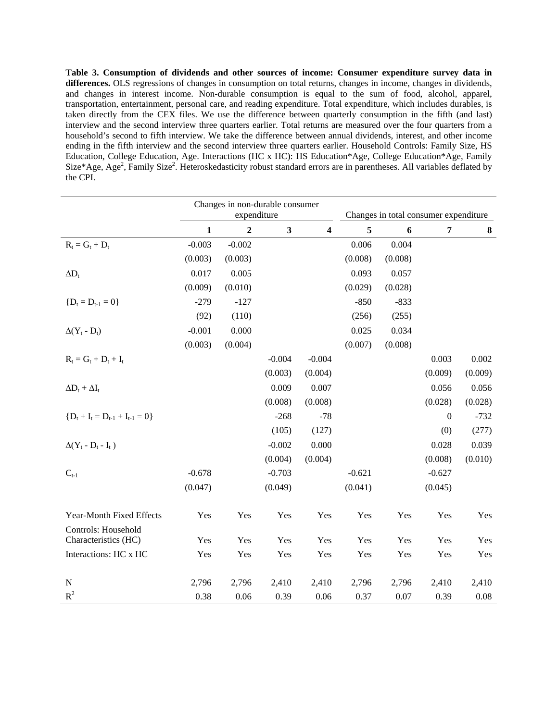**Table 3. Consumption of dividends and other sources of income: Consumer expenditure survey data in differences.** OLS regressions of changes in consumption on total returns, changes in income, changes in dividends, and changes in interest income. Non-durable consumption is equal to the sum of food, alcohol, apparel, transportation, entertainment, personal care, and reading expenditure. Total expenditure, which includes durables, is taken directly from the CEX files. We use the difference between quarterly consumption in the fifth (and last) interview and the second interview three quarters earlier. Total returns are measured over the four quarters from a household's second to fifth interview. We take the difference between annual dividends, interest, and other income ending in the fifth interview and the second interview three quarters earlier. Household Controls: Family Size, HS Education, College Education, Age. Interactions (HC x HC): HS Education\*Age, College Education\*Age, Family Size\*Age, Age<sup>2</sup>, Family Size<sup>2</sup>. Heteroskedasticity robust standard errors are in parentheses. All variables deflated by the CPI.

|                                       |              |                | Changes in non-durable consumer |                         |                                       |         |                  |         |  |
|---------------------------------------|--------------|----------------|---------------------------------|-------------------------|---------------------------------------|---------|------------------|---------|--|
|                                       |              | expenditure    |                                 |                         | Changes in total consumer expenditure |         |                  |         |  |
|                                       | $\mathbf{1}$ | $\overline{2}$ | $\overline{\mathbf{3}}$         | $\overline{\mathbf{4}}$ | 5                                     | 6       | $\overline{7}$   | 8       |  |
| $R_t = G_t + D_t$                     | $-0.003$     | $-0.002$       |                                 |                         | 0.006                                 | 0.004   |                  |         |  |
|                                       | (0.003)      | (0.003)        |                                 |                         | (0.008)                               | (0.008) |                  |         |  |
| $\Delta D_t$                          | 0.017        | 0.005          |                                 |                         | 0.093                                 | 0.057   |                  |         |  |
|                                       | (0.009)      | (0.010)        |                                 |                         | (0.029)                               | (0.028) |                  |         |  |
| ${D_t = D_{t-1} = 0}$                 | $-279$       | $-127$         |                                 |                         | $-850$                                | $-833$  |                  |         |  |
|                                       | (92)         | (110)          |                                 |                         | (256)                                 | (255)   |                  |         |  |
| $\Delta(Y_t - D_t)$                   | $-0.001$     | 0.000          |                                 |                         | 0.025                                 | 0.034   |                  |         |  |
|                                       | (0.003)      | (0.004)        |                                 |                         | (0.007)                               | (0.008) |                  |         |  |
| $R_t = G_t + D_t + I_t$               |              |                | $-0.004$                        | $-0.004$                |                                       |         | 0.003            | 0.002   |  |
|                                       |              |                | (0.003)                         | (0.004)                 |                                       |         | (0.009)          | (0.009) |  |
| $\Delta D_t + \Delta I_t$             |              |                | 0.009                           | 0.007                   |                                       |         | 0.056            | 0.056   |  |
|                                       |              |                | (0.008)                         | (0.008)                 |                                       |         | (0.028)          | (0.028) |  |
| ${D_t + I_t = D_{t-1} + I_{t-1} = 0}$ |              |                | $-268$                          | $-78$                   |                                       |         | $\boldsymbol{0}$ | $-732$  |  |
|                                       |              |                | (105)                           | (127)                   |                                       |         | (0)              | (277)   |  |
| $\Delta(Y_t - D_t - I_t)$             |              |                | $-0.002$                        | 0.000                   |                                       |         | 0.028            | 0.039   |  |
|                                       |              |                | (0.004)                         | (0.004)                 |                                       |         | (0.008)          | (0.010) |  |
| $C_{t-1}$                             | $-0.678$     |                | $-0.703$                        |                         | $-0.621$                              |         | $-0.627$         |         |  |
|                                       | (0.047)      |                | (0.049)                         |                         | (0.041)                               |         | (0.045)          |         |  |
| Year-Month Fixed Effects              | Yes          | Yes            | Yes                             | Yes                     | Yes                                   | Yes     | Yes              | Yes     |  |
| Controls: Household                   |              |                |                                 |                         |                                       |         |                  |         |  |
| Characteristics (HC)                  | Yes          | Yes            | Yes                             | Yes                     | Yes                                   | Yes     | Yes              | Yes     |  |
| Interactions: HC x HC                 | Yes          | Yes            | Yes                             | Yes                     | Yes                                   | Yes     | Yes              | Yes     |  |
| ${\bf N}$                             | 2,796        | 2,796          | 2,410                           | 2,410                   | 2,796                                 | 2,796   | 2,410            | 2,410   |  |
| $R^2$                                 | 0.38         | 0.06           | 0.39                            | 0.06                    | 0.37                                  | 0.07    | 0.39             | 0.08    |  |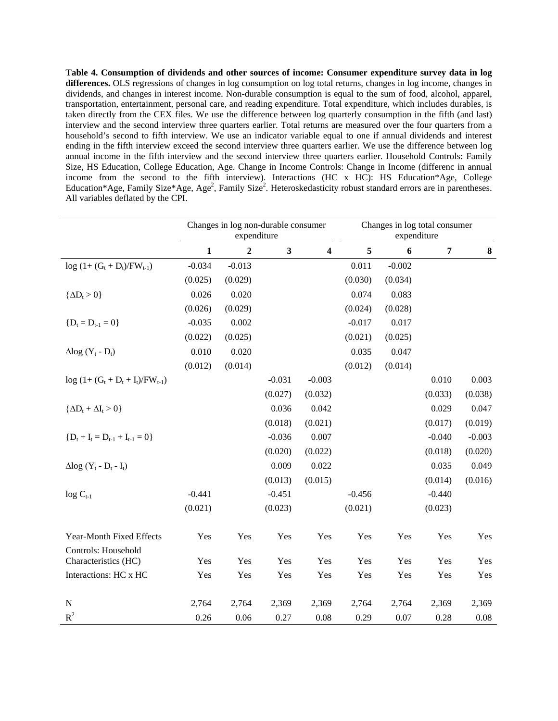**Table 4. Consumption of dividends and other sources of income: Consumer expenditure survey data in log differences.** OLS regressions of changes in log consumption on log total returns, changes in log income, changes in dividends, and changes in interest income. Non-durable consumption is equal to the sum of food, alcohol, apparel, transportation, entertainment, personal care, and reading expenditure. Total expenditure, which includes durables, is taken directly from the CEX files. We use the difference between log quarterly consumption in the fifth (and last) interview and the second interview three quarters earlier. Total returns are measured over the four quarters from a household's second to fifth interview. We use an indicator variable equal to one if annual dividends and interest ending in the fifth interview exceed the second interview three quarters earlier. We use the difference between log annual income in the fifth interview and the second interview three quarters earlier. Household Controls: Family Size, HS Education, College Education, Age. Change in Income Controls: Change in Income (differenc in annual income from the second to the fifth interview). Interactions (HC x HC): HS Education\*Age, College Education\*Age, Family Size\*Age, Age<sup>2</sup>, Family Size<sup>2</sup>. Heteroskedasticity robust standard errors are in parentheses. All variables deflated by the CPI.

|                                                                  | Changes in log non-durable consumer<br>expenditure |                |                         |                         |          | Changes in log total consumer<br>expenditure |                |          |
|------------------------------------------------------------------|----------------------------------------------------|----------------|-------------------------|-------------------------|----------|----------------------------------------------|----------------|----------|
|                                                                  | $\mathbf{1}$                                       | $\overline{2}$ | $\overline{\mathbf{3}}$ | $\overline{\mathbf{4}}$ | 5        | 6                                            | $\overline{7}$ | 8        |
| $log(1+(G_t+D_t)/FW_{t-1})$                                      | $-0.034$                                           | $-0.013$       |                         |                         | 0.011    | $-0.002$                                     |                |          |
|                                                                  | (0.025)                                            | (0.029)        |                         |                         | (0.030)  | (0.034)                                      |                |          |
| $\{\Delta D_t > 0\}$                                             | 0.026                                              | 0.020          |                         |                         | 0.074    | 0.083                                        |                |          |
|                                                                  | (0.026)                                            | (0.029)        |                         |                         | (0.024)  | (0.028)                                      |                |          |
| ${D_t = D_{t-1} = 0}$                                            | $-0.035$                                           | 0.002          |                         |                         | $-0.017$ | 0.017                                        |                |          |
|                                                                  | (0.022)                                            | (0.025)        |                         |                         | (0.021)  | (0.025)                                      |                |          |
| $\Delta$ log (Y <sub>t</sub> - D <sub>t</sub> )                  | 0.010                                              | 0.020          |                         |                         | 0.035    | 0.047                                        |                |          |
|                                                                  | (0.012)                                            | (0.014)        |                         |                         | (0.012)  | (0.014)                                      |                |          |
| $log(1+(G_t+D_t+I_t)/FW_{t-1})$                                  |                                                    |                | $-0.031$                | $-0.003$                |          |                                              | 0.010          | 0.003    |
|                                                                  |                                                    |                | (0.027)                 | (0.032)                 |          |                                              | (0.033)        | (0.038)  |
| $\{\Delta D_t + \Delta I_t > 0\}$                                |                                                    |                | 0.036                   | 0.042                   |          |                                              | 0.029          | 0.047    |
|                                                                  |                                                    |                | (0.018)                 | (0.021)                 |          |                                              | (0.017)        | (0.019)  |
| ${D_t + I_t = D_{t-1} + I_{t-1} = 0}$                            |                                                    |                | $-0.036$                | 0.007                   |          |                                              | $-0.040$       | $-0.003$ |
|                                                                  |                                                    |                | (0.020)                 | (0.022)                 |          |                                              | (0.018)        | (0.020)  |
| $\Delta$ log (Y <sub>t</sub> - D <sub>t</sub> - I <sub>t</sub> ) |                                                    |                | 0.009                   | 0.022                   |          |                                              | 0.035          | 0.049    |
|                                                                  |                                                    |                | (0.013)                 | (0.015)                 |          |                                              | (0.014)        | (0.016)  |
| $log C_{t-1}$                                                    | $-0.441$                                           |                | $-0.451$                |                         | $-0.456$ |                                              | $-0.440$       |          |
|                                                                  | (0.021)                                            |                | (0.023)                 |                         | (0.021)  |                                              | (0.023)        |          |
| Year-Month Fixed Effects                                         | Yes                                                | Yes            | Yes                     | Yes                     | Yes      | Yes                                          | Yes            | Yes      |
| Controls: Household<br>Characteristics (HC)                      | Yes                                                | Yes            | Yes                     | Yes                     | Yes      | Yes                                          | Yes            | Yes      |
| Interactions: HC x HC                                            | Yes                                                | Yes            | Yes                     | Yes                     | Yes      | Yes                                          | Yes            | Yes      |
| ${\bf N}$                                                        | 2,764                                              | 2,764          | 2,369                   | 2,369                   | 2,764    | 2,764                                        | 2,369          | 2,369    |
| $R^2$                                                            | 0.26                                               | 0.06           | 0.27                    | 0.08                    | 0.29     | 0.07                                         | 0.28           | 0.08     |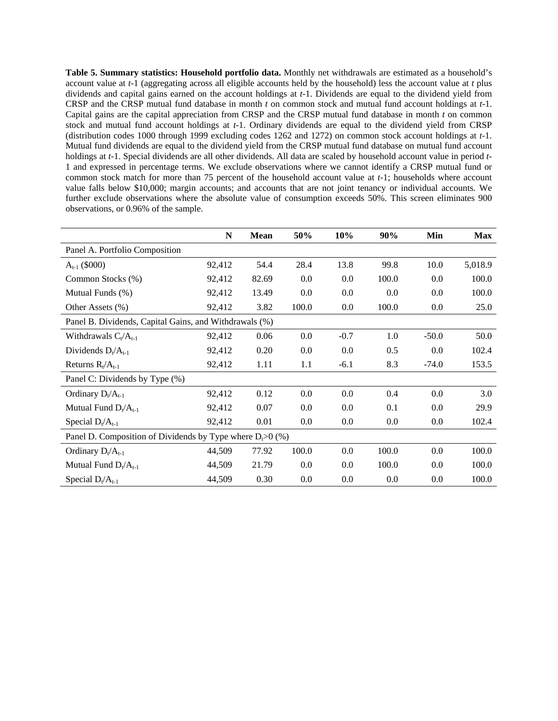**Table 5. Summary statistics: Household portfolio data.** Monthly net withdrawals are estimated as a household's account value at *t*-1 (aggregating across all eligible accounts held by the household) less the account value at *t* plus dividends and capital gains earned on the account holdings at *t*-1. Dividends are equal to the dividend yield from CRSP and the CRSP mutual fund database in month *t* on common stock and mutual fund account holdings at *t*-1. Capital gains are the capital appreciation from CRSP and the CRSP mutual fund database in month *t* on common stock and mutual fund account holdings at *t*-1. Ordinary dividends are equal to the dividend yield from CRSP (distribution codes 1000 through 1999 excluding codes 1262 and 1272) on common stock account holdings at *t*-1. Mutual fund dividends are equal to the dividend yield from the CRSP mutual fund database on mutual fund account holdings at *t*-1. Special dividends are all other dividends. All data are scaled by household account value in period *t*-1 and expressed in percentage terms. We exclude observations where we cannot identify a CRSP mutual fund or common stock match for more than 75 percent of the household account value at *t*-1; households where account value falls below \$10,000; margin accounts; and accounts that are not joint tenancy or individual accounts. We further exclude observations where the absolute value of consumption exceeds 50%. This screen eliminates 900 observations, or 0.96% of the sample.

|                                                               | N      | <b>Mean</b> | 50%   | 10%     | 90%     | Min     | <b>Max</b> |
|---------------------------------------------------------------|--------|-------------|-------|---------|---------|---------|------------|
| Panel A. Portfolio Composition                                |        |             |       |         |         |         |            |
| $A_{t-1}$ (\$000)                                             | 92,412 | 54.4        | 28.4  | 13.8    | 99.8    | 10.0    | 5,018.9    |
| Common Stocks (%)                                             | 92,412 | 82.69       | 0.0   | $0.0\,$ | 100.0   | 0.0     | 100.0      |
| Mutual Funds (%)                                              | 92,412 | 13.49       | 0.0   | 0.0     | 0.0     | 0.0     | 100.0      |
| Other Assets (%)                                              | 92,412 | 3.82        | 100.0 | $0.0\,$ | 100.0   | 0.0     | 25.0       |
| Panel B. Dividends, Capital Gains, and Withdrawals (%)        |        |             |       |         |         |         |            |
| Withdrawals $C_t/A_{t-1}$                                     | 92,412 | 0.06        | 0.0   | $-0.7$  | 1.0     | $-50.0$ | 50.0       |
| Dividends $D_t/A_{t-1}$                                       | 92,412 | 0.20        | 0.0   | 0.0     | 0.5     | 0.0     | 102.4      |
| Returns $R_t/A_{t-1}$                                         | 92,412 | 1.11        | 1.1   | $-6.1$  | 8.3     | $-74.0$ | 153.5      |
| Panel C: Dividends by Type (%)                                |        |             |       |         |         |         |            |
| Ordinary $D_t/A_{t-1}$                                        | 92,412 | 0.12        | 0.0   | 0.0     | 0.4     | 0.0     | 3.0        |
| Mutual Fund $D_t/A_{t-1}$                                     | 92,412 | 0.07        | 0.0   | 0.0     | 0.1     | 0.0     | 29.9       |
| Special $D_t/A_{t-1}$                                         | 92,412 | 0.01        | 0.0   | $0.0\,$ | $0.0\,$ | 0.0     | 102.4      |
| Panel D. Composition of Dividends by Type where $D_1 > 0$ (%) |        |             |       |         |         |         |            |
| Ordinary $D_t/A_{t-1}$                                        | 44,509 | 77.92       | 100.0 | $0.0\,$ | 100.0   | 0.0     | 100.0      |
| Mutual Fund $D_t/A_{t-1}$                                     | 44,509 | 21.79       | 0.0   | 0.0     | 100.0   | 0.0     | 100.0      |
| Special $D_t/A_{t-1}$                                         | 44,509 | 0.30        | 0.0   | $0.0\,$ | 0.0     | 0.0     | 100.0      |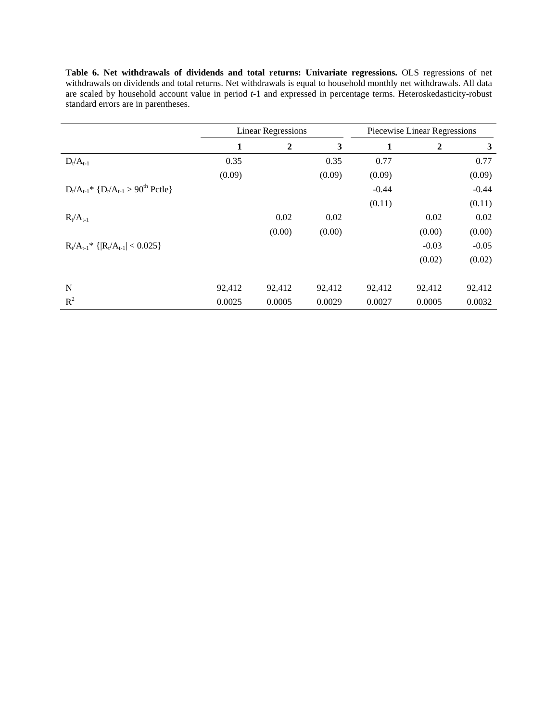| Table 6. Net withdrawals of dividends and total returns: Univariate regressions. OLS regressions of net             |
|---------------------------------------------------------------------------------------------------------------------|
| withdrawals on dividends and total returns. Net withdrawals is equal to household monthly net withdrawals. All data |
| are scaled by household account value in period $t-1$ and expressed in percentage terms. Heteroskedasticity-robust  |
| standard errors are in parentheses.                                                                                 |

|                                                              |        | <b>Linear Regressions</b> | Piecewise Linear Regressions |         |                |              |
|--------------------------------------------------------------|--------|---------------------------|------------------------------|---------|----------------|--------------|
|                                                              | 1      | $\overline{2}$            | 3                            | 1       | $\overline{2}$ | $\mathbf{3}$ |
| $D_t/A_{t-1}$                                                | 0.35   |                           | 0.35                         | 0.77    |                | 0.77         |
|                                                              | (0.09) |                           | (0.09)                       | (0.09)  |                | (0.09)       |
| $D_t/A_{t-1}$ <sup>*</sup> $\{D_t/A_{t-1} > 90^{th}$ Pctle } |        |                           |                              | $-0.44$ |                | $-0.44$      |
|                                                              |        |                           |                              | (0.11)  |                | (0.11)       |
| $R_t/A_{t-1}$                                                |        | 0.02                      | 0.02                         |         | 0.02           | 0.02         |
|                                                              |        | (0.00)                    | (0.00)                       |         | (0.00)         | (0.00)       |
| $R_t/A_{t-1}$ * { $ R_t/A_{t-1}  < 0.025$ }                  |        |                           |                              |         | $-0.03$        | $-0.05$      |
|                                                              |        |                           |                              |         | (0.02)         | (0.02)       |
| N                                                            | 92,412 | 92,412                    | 92,412                       | 92,412  | 92,412         | 92,412       |
| $R^2$                                                        | 0.0025 | 0.0005                    | 0.0029                       | 0.0027  | 0.0005         | 0.0032       |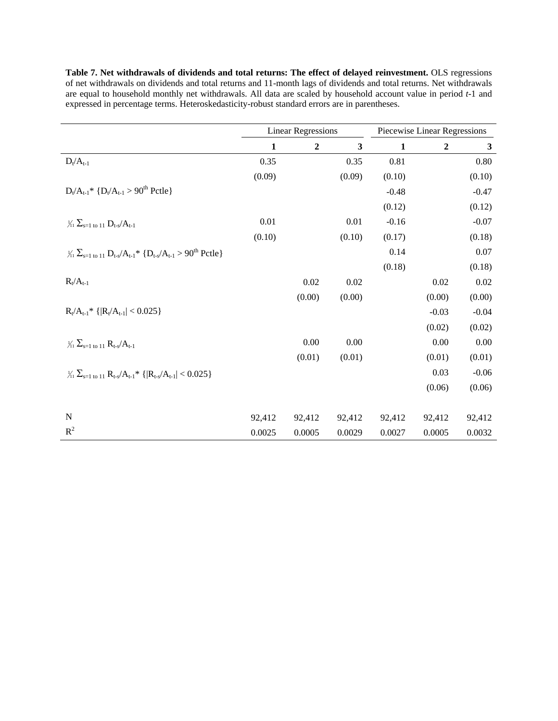| expressed in percentage terms. Heteroskedasticity-robust standard errors are in parentheses.                         |        |                           |        |                              |                |         |  |  |
|----------------------------------------------------------------------------------------------------------------------|--------|---------------------------|--------|------------------------------|----------------|---------|--|--|
|                                                                                                                      |        | <b>Linear Regressions</b> |        | Piecewise Linear Regressions |                |         |  |  |
|                                                                                                                      | 1      | $\overline{2}$            | 3      | 1                            | $\overline{2}$ | 3       |  |  |
| $D_t/A_{t-1}$                                                                                                        | 0.35   |                           | 0.35   | 0.81                         |                | 0.80    |  |  |
|                                                                                                                      | (0.09) |                           | (0.09) | (0.10)                       |                | (0.10)  |  |  |
| $D_t/A_{t-1}$ * $\{D_t/A_{t-1} > 90^{th}$ Pctle }                                                                    |        |                           |        | $-0.48$                      |                | $-0.47$ |  |  |
|                                                                                                                      |        |                           |        | (0.12)                       |                | (0.12)  |  |  |
| $\frac{1}{11} \sum_{s=1 \text{ to } 11} D_{ts} / A_{t-1}$                                                            | 0.01   |                           | 0.01   | $-0.16$                      |                | $-0.07$ |  |  |
|                                                                                                                      | (0.10) |                           | (0.10) | (0.17)                       |                | (0.18)  |  |  |
| $\frac{1}{11} \sum_{s=1 \text{ to } 11} D_{t-s} / A_{t-1}$ $\{ D_{t-s} / A_{t-1} > 90^{\text{th}} \text{ Pctle } \}$ |        |                           |        | 0.14                         |                | 0.07    |  |  |
|                                                                                                                      |        |                           |        | (0.18)                       |                | (0.18)  |  |  |
| $R_t/A_{t-1}$                                                                                                        |        | 0.02                      | 0.02   |                              | 0.02           | 0.02    |  |  |
|                                                                                                                      |        | (0.00)                    | (0.00) |                              | (0.00)         | (0.00)  |  |  |
| $R_t/A_{t-1}$ $\{  R_t/A_{t-1}  < 0.025 \}$                                                                          |        |                           |        |                              | $-0.03$        | $-0.04$ |  |  |
|                                                                                                                      |        |                           |        |                              | (0.02)         | (0.02)  |  |  |
| $\frac{1}{11} \sum_{s=1 \text{ to } 11} R_{t-s} / A_{t-1}$                                                           |        | 0.00                      | 0.00   |                              | 0.00           | 0.00    |  |  |
|                                                                                                                      |        | (0.01)                    | (0.01) |                              | (0.01)         | (0.01)  |  |  |

 $\frac{1}{2}$   $\sum_{s=1 \text{ to } 11}$   $R_{t-s}/A_{t-1}$ <sup>\*</sup>  $\{|R_{t-s}/A_{t-1}| < 0.025\}$  0.03 -0.06

N 92,412 92,412 92,412 92,412 92,412 92,412  $R^2$  0.0025 0.0005 0.0029 0.0027 0.0005 0.0032

 $(0.06)$   $(0.06)$ 

**Table 7. Net withdrawals of dividends and total returns: The effect of delayed reinvestment.** OLS regressions of net withdrawals on dividends and total returns and 11-month lags of dividends and total returns. Net withdrawals are equal to household monthly net withdrawals. All data are scaled by household account value in period *t*-1 and expressed in percentage terms. Heteroskedasticity-robust standard errors are in parentheses.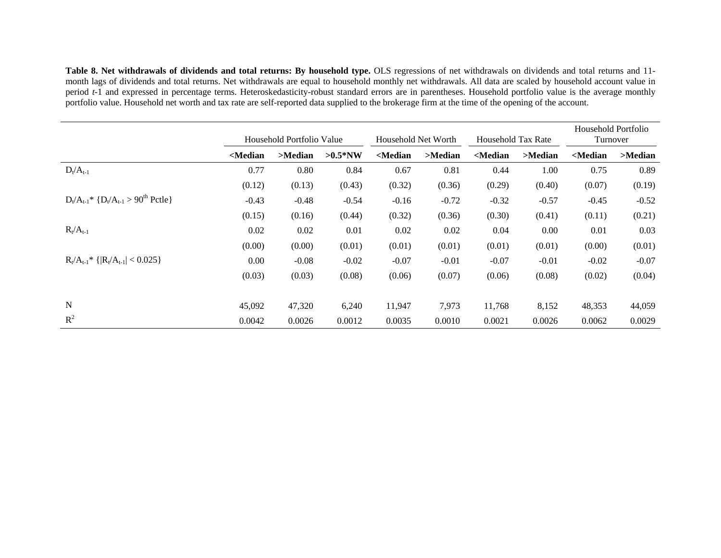Table 8. Net withdrawals of dividends and total returns: By household type. OLS regressions of net withdrawals on dividends and total returns and 11month lags of dividends and total returns. Net withdrawals are equal to household monthly net withdrawals. All data are scaled by household account value in period *t*-1 and expressed in percentage terms. Heteroskedasticity-robust standard errors are in parentheses. Household portfolio value is the average monthly portfolio value. Household net worth and tax rate are self-reported data supplied to the brokerage firm at the time of the opening of the account.

|                                                              | Household Portfolio Value                                                                                                                                                                                                                                |         |           | Household Net Worth                                                                                                                                                 |         | <b>Household Tax Rate</b>                                                                                      |         | Household Portfolio<br>Turnover                           |            |
|--------------------------------------------------------------|----------------------------------------------------------------------------------------------------------------------------------------------------------------------------------------------------------------------------------------------------------|---------|-----------|---------------------------------------------------------------------------------------------------------------------------------------------------------------------|---------|----------------------------------------------------------------------------------------------------------------|---------|-----------------------------------------------------------|------------|
|                                                              | <median< th=""><th>&gt;Median</th><th><math>&gt;0.5*NW</math></th><th><median< th=""><th>&gt;Median</th><th><median< th=""><th>&gt;Median</th><th><median< th=""><th><math>&gt;</math>Median</th></median<></th></median<></th></median<></th></median<> | >Median | $>0.5*NW$ | <median< th=""><th>&gt;Median</th><th><median< th=""><th>&gt;Median</th><th><median< th=""><th><math>&gt;</math>Median</th></median<></th></median<></th></median<> | >Median | <median< th=""><th>&gt;Median</th><th><median< th=""><th><math>&gt;</math>Median</th></median<></th></median<> | >Median | <median< th=""><th><math>&gt;</math>Median</th></median<> | $>$ Median |
| $D_t/A_{t-1}$                                                | 0.77                                                                                                                                                                                                                                                     | 0.80    | 0.84      | 0.67                                                                                                                                                                | 0.81    | 0.44                                                                                                           | 1.00    | 0.75                                                      | 0.89       |
|                                                              | (0.12)                                                                                                                                                                                                                                                   | (0.13)  | (0.43)    | (0.32)                                                                                                                                                              | (0.36)  | (0.29)                                                                                                         | (0.40)  | (0.07)                                                    | (0.19)     |
| $D_t/A_{t-1}$ <sup>*</sup> $\{D_t/A_{t-1} > 90^{th}$ Pctle } | $-0.43$                                                                                                                                                                                                                                                  | $-0.48$ | $-0.54$   | $-0.16$                                                                                                                                                             | $-0.72$ | $-0.32$                                                                                                        | $-0.57$ | $-0.45$                                                   | $-0.52$    |
|                                                              | (0.15)                                                                                                                                                                                                                                                   | (0.16)  | (0.44)    | (0.32)                                                                                                                                                              | (0.36)  | (0.30)                                                                                                         | (0.41)  | (0.11)                                                    | (0.21)     |
| $R_t/A_{t-1}$                                                | 0.02                                                                                                                                                                                                                                                     | 0.02    | 0.01      | 0.02                                                                                                                                                                | 0.02    | 0.04                                                                                                           | 0.00    | 0.01                                                      | 0.03       |
|                                                              | (0.00)                                                                                                                                                                                                                                                   | (0.00)  | (0.01)    | (0.01)                                                                                                                                                              | (0.01)  | (0.01)                                                                                                         | (0.01)  | (0.00)                                                    | (0.01)     |
| $R_t/A_{t-1}$ * { $ R_t/A_{t-1}  < 0.025$ }                  | 0.00                                                                                                                                                                                                                                                     | $-0.08$ | $-0.02$   | $-0.07$                                                                                                                                                             | $-0.01$ | $-0.07$                                                                                                        | $-0.01$ | $-0.02$                                                   | $-0.07$    |
|                                                              | (0.03)                                                                                                                                                                                                                                                   | (0.03)  | (0.08)    | (0.06)                                                                                                                                                              | (0.07)  | (0.06)                                                                                                         | (0.08)  | (0.02)                                                    | (0.04)     |
| $\mathbf N$                                                  | 45,092                                                                                                                                                                                                                                                   | 47,320  | 6,240     | 11,947                                                                                                                                                              | 7,973   | 11,768                                                                                                         | 8,152   | 48,353                                                    | 44,059     |
| $R^2$                                                        | 0.0042                                                                                                                                                                                                                                                   | 0.0026  | 0.0012    | 0.0035                                                                                                                                                              | 0.0010  | 0.0021                                                                                                         | 0.0026  | 0.0062                                                    | 0.0029     |